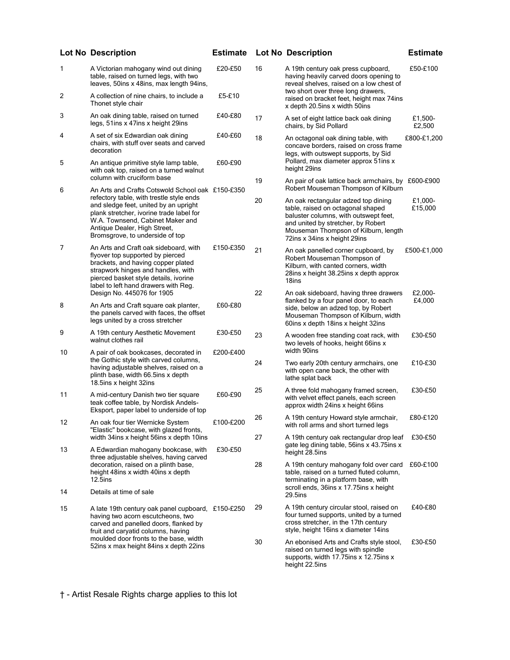|                                                                                                                                                                                                            | <b>Lot No Description</b>                                                                                                                                                                                                              | <b>Estimate</b> |                                                                                                                                             | <b>Lot No Description</b>                                                                                                                                                                                                       | <b>Estimate</b>    |
|------------------------------------------------------------------------------------------------------------------------------------------------------------------------------------------------------------|----------------------------------------------------------------------------------------------------------------------------------------------------------------------------------------------------------------------------------------|-----------------|---------------------------------------------------------------------------------------------------------------------------------------------|---------------------------------------------------------------------------------------------------------------------------------------------------------------------------------------------------------------------------------|--------------------|
| 1                                                                                                                                                                                                          | A Victorian mahogany wind out dining<br>table, raised on turned legs, with two<br>leaves, 50ins x 48ins, max length 94ins,                                                                                                             | £20-£50         | 16                                                                                                                                          | A 19th century oak press cupboard,<br>having heavily carved doors opening to<br>reveal shelves, raised on a low chest of                                                                                                        | £50-£100           |
| 2                                                                                                                                                                                                          | A collection of nine chairs, to include a<br>Thonet style chair                                                                                                                                                                        | £5-£10          |                                                                                                                                             | two short over three long drawers,<br>raised on bracket feet, height max 74ins<br>x depth 20.5ins x width 50ins                                                                                                                 |                    |
| 3                                                                                                                                                                                                          | An oak dining table, raised on turned<br>legs, 51ins x 47ins x height 29ins                                                                                                                                                            | £40-£80         | 17                                                                                                                                          | A set of eight lattice back oak dining<br>chairs, by Sid Pollard                                                                                                                                                                | £1,500-<br>£2,500  |
| 4                                                                                                                                                                                                          | A set of six Edwardian oak dining<br>chairs, with stuff over seats and carved<br>decoration                                                                                                                                            | £40-£60         | 18                                                                                                                                          | An octagonal oak dining table, with<br>concave borders, raised on cross frame<br>legs, with outswept supports, by Sid                                                                                                           | £800-£1,200        |
| 5                                                                                                                                                                                                          | An antique primitive style lamp table,<br>with oak top, raised on a turned walnut<br>column with cruciform base                                                                                                                        | £60-£90         |                                                                                                                                             | Pollard, max diameter approx 51ins x<br>height 29ins                                                                                                                                                                            |                    |
| 6                                                                                                                                                                                                          | An Arts and Crafts Cotswold School oak £150-£350                                                                                                                                                                                       |                 | 19                                                                                                                                          | An pair of oak lattice back armchairs, by £600-£900<br>Robert Mouseman Thompson of Kilburn                                                                                                                                      |                    |
|                                                                                                                                                                                                            | refectory table, with trestle style ends<br>and sledge feet, united by an upright<br>plank stretcher, ivorine trade label for<br>W.A. Townsend, Cabinet Maker and<br>Antique Dealer, High Street,<br>Bromsgrove, to underside of top   |                 | 20                                                                                                                                          | An oak rectangular adzed top dining<br>table, raised on octagonal shaped<br>baluster columns, with outswept feet,<br>and united by stretcher, by Robert<br>Mouseman Thompson of Kilburn, length<br>72ins x 34ins x height 29ins | £1,000-<br>£15,000 |
| $\overline{7}$                                                                                                                                                                                             | An Arts and Craft oak sideboard, with<br>flyover top supported by pierced<br>brackets, and having copper plated<br>strapwork hinges and handles, with<br>pierced basket style details, ivorine<br>label to left hand drawers with Reg. | £150-£350       | 21                                                                                                                                          | An oak panelled corner cupboard, by<br>Robert Mouseman Thompson of<br>Kilburn, with canted corners, width<br>28ins x height 38.25ins x depth approx<br>18ins                                                                    | £500-£1,000        |
| 8                                                                                                                                                                                                          | Design No. 445076 for 1905<br>An Arts and Craft square oak planter,<br>the panels carved with faces, the offset<br>legs united by a cross stretcher                                                                                    | £60-£80         | 22                                                                                                                                          | An oak sideboard, having three drawers<br>flanked by a four panel door, to each<br>side, below an adzed top, by Robert<br>Mouseman Thompson of Kilburn, width<br>60ins x depth 18ins x height 32ins                             | £2,000-<br>£4,000  |
| 9                                                                                                                                                                                                          | A 19th century Aesthetic Movement<br>walnut clothes rail                                                                                                                                                                               | £30-£50         | 23                                                                                                                                          | A wooden free standing coat rack, with<br>two levels of hooks, height 66ins x                                                                                                                                                   | £30-£50            |
| 10                                                                                                                                                                                                         | A pair of oak bookcases, decorated in<br>the Gothic style with carved columns,<br>having adjustable shelves, raised on a<br>plinth base, width 66.5ins x depth<br>18.5ins x height 32ins                                               | £200-£400       | 24                                                                                                                                          | width 90ins<br>Two early 20th century armchairs, one<br>with open cane back, the other with<br>lathe splat back                                                                                                                 | £10-£30            |
| 11                                                                                                                                                                                                         | A mid-century Danish two tier square<br>teak coffee table, by Nordisk Andels-<br>Eksport, paper label to underside of top                                                                                                              | £60-£90         | 25                                                                                                                                          | A three fold mahogany framed screen,<br>with velvet effect panels, each screen<br>approx width 24ins x height 66ins                                                                                                             | £30-£50            |
| 12                                                                                                                                                                                                         | An oak four tier Wernicke System<br>"Elastic" bookcase, with glazed fronts,                                                                                                                                                            | £100-£200       | 26                                                                                                                                          | A 19th century Howard style armchair,<br>with roll arms and short turned legs                                                                                                                                                   | £80-£120           |
| 13                                                                                                                                                                                                         | width 34ins x height 56ins x depth 10ins<br>A Edwardian mahogany bookcase, with                                                                                                                                                        | £30-£50         | 27                                                                                                                                          | A 19th century oak rectangular drop leaf<br>gate leg dining table, 56ins x 43.75ins x<br>height 28.5ins                                                                                                                         | £30-£50            |
| 14                                                                                                                                                                                                         | three adjustable shelves, having carved<br>decoration, raised on a plinth base,<br>height 48ins x width 40ins x depth<br>$12.5$ ins                                                                                                    |                 | 28                                                                                                                                          | A 19th century mahogany fold over card<br>table, raised on a turned fluted column,<br>terminating in a platform base, with<br>scroll ends, 36ins x 17.75ins x height                                                            | £60-£100           |
|                                                                                                                                                                                                            | Details at time of sale                                                                                                                                                                                                                |                 |                                                                                                                                             | 29.5ins                                                                                                                                                                                                                         |                    |
| 15<br>having two acorn escutcheons, two<br>carved and panelled doors, flanked by<br>fruit and caryatid columns, having<br>moulded door fronts to the base, width<br>52ins x max height 84ins x depth 22ins | A late 19th century oak panel cupboard, £150-£250                                                                                                                                                                                      |                 | 29                                                                                                                                          | A 19th century circular stool, raised on<br>four turned supports, united by a turned<br>cross stretcher, in the 17th century<br>style, height 16ins x diameter 14ins                                                            | £40-£80            |
|                                                                                                                                                                                                            |                                                                                                                                                                                                                                        | 30              | An ebonised Arts and Crafts style stool,<br>raised on turned legs with spindle<br>supports, width 17.75 ins x 12.75 ins x<br>height 22.5ins | £30-£50                                                                                                                                                                                                                         |                    |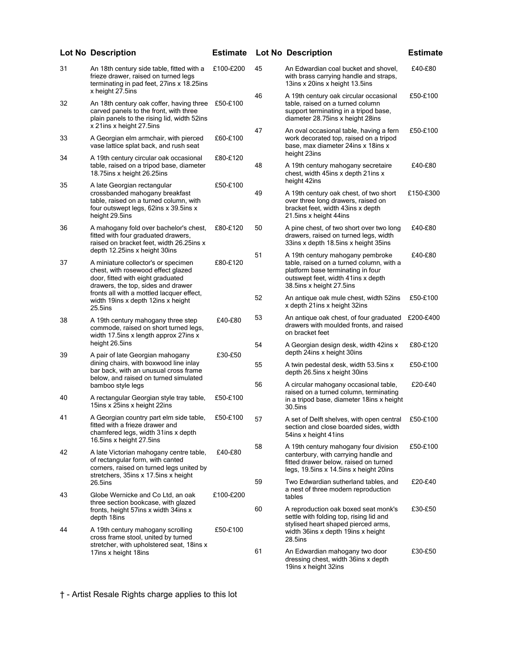|         | <b>Lot No Description</b>                                                                                                                                                             | <b>Estimate</b> |    | <b>Lot No Description</b>                                                                                                                                                           | <b>Estimate</b> |
|---------|---------------------------------------------------------------------------------------------------------------------------------------------------------------------------------------|-----------------|----|-------------------------------------------------------------------------------------------------------------------------------------------------------------------------------------|-----------------|
| 31      | An 18th century side table, fitted with a<br>frieze drawer, raised on turned legs<br>terminating in pad feet, 27ins x 18.25ins                                                        | £100-£200       | 45 | An Edwardian coal bucket and shovel,<br>with brass carrying handle and straps,<br>13ins x 20ins x height 13.5ins                                                                    | £40-£80         |
| 32      | x height 27.5ins<br>An 18th century oak coffer, having three<br>carved panels to the front, with three<br>plain panels to the rising lid, width 52ins<br>x 21ins x height 27.5ins     | £50-£100        | 46 | A 19th century oak circular occasional<br>table, raised on a turned column<br>support terminating in a tripod base,<br>diameter 28.75ins x height 28ins                             | £50-£100        |
| 33      | A Georgian elm armchair, with pierced<br>vase lattice splat back, and rush seat                                                                                                       | £60-£100        | 47 | An oval occasional table, having a fern<br>work decorated top, raised on a tripod<br>base, max diameter 24ins x 18ins x                                                             | £50-£100        |
| 34      | A 19th century circular oak occasional<br>table, raised on a tripod base, diameter<br>18.75ins x height 26.25ins                                                                      | £80-£120        | 48 | height 23ins<br>A 19th century mahogany secretaire<br>chest, width 45ins x depth 21ins x<br>height 42ins                                                                            | £40-£80         |
| 35      | A late Georgian rectangular<br>crossbanded mahogany breakfast<br>table, raised on a turned column, with<br>four outswept legs, 62ins x 39.5ins x<br>height 29.5ins                    | £50-£100        | 49 | A 19th century oak chest, of two short<br>over three long drawers, raised on<br>bracket feet, width 43ins x depth<br>21.5ins x height 44ins                                         | £150-£300       |
| 36      | A mahogany fold over bachelor's chest,<br>fitted with four graduated drawers,<br>raised on bracket feet, width 26.25ins x                                                             | £80-£120        | 50 | A pine chest, of two short over two long<br>drawers, raised on turned legs, width<br>33ins x depth 18.5ins x height 35ins                                                           | £40-£80         |
| 37      | depth 12.25ins x height 30ins<br>A miniature collector's or specimen<br>chest, with rosewood effect glazed<br>door, fitted with eight graduated<br>drawers, the top, sides and drawer | £80-£120        | 51 | A 19th century mahogany pembroke<br>table, raised on a turned column, with a<br>platform base terminating in four<br>outswept feet, width 41ins x depth<br>38.5ins x height 27.5ins | £40-£80         |
| 25.5ins | fronts all with a mottled lacquer effect,<br>width 19ins x depth 12ins x height                                                                                                       |                 | 52 | An antique oak mule chest, width 52ins<br>x depth 21ins x height 32ins                                                                                                              | £50-£100        |
| 38      | A 19th century mahogany three step<br>commode, raised on short turned legs,<br>width 17.5ins x length approx 27ins x                                                                  | £40-£80         | 53 | An antique oak chest, of four graduated<br>drawers with moulded fronts, and raised<br>on bracket feet                                                                               | £200-£400       |
| 39      | height 26.5ins<br>A pair of late Georgian mahogany                                                                                                                                    | £30-£50         | 54 | A Georgian design desk, width 42ins x<br>depth 24ins x height 30ins                                                                                                                 | £80-£120        |
|         | dining chairs, with boxwood line inlay<br>bar back, with an unusual cross frame<br>below, and raised on turned simulated                                                              |                 | 55 | A twin pedestal desk, width 53.5ins x<br>depth 26.5ins x height 30ins                                                                                                               | £50-£100        |
| 40      | bamboo style legs<br>A rectangular Georgian style tray table,<br>15ins x 25ins x height 22ins                                                                                         | £50-£100        | 56 | A circular mahogany occasional table,<br>raised on a turned column, terminating<br>in a tripod base, diameter 18ins x height<br>30.5ins                                             | £20-£40         |
| 41      | A Georgian country part elm side table,<br>fitted with a frieze drawer and<br>chamfered legs, width 31ins x depth<br>16.5ins x height 27.5ins                                         | £50-£100        | 57 | A set of Delft shelves, with open central<br>section and close boarded sides, width<br>54ins x height 41ins                                                                         | £50-£100        |
| 42      | A late Victorian mahogany centre table,<br>of rectangular form, with canted<br>corners, raised on turned legs united by<br>stretchers, 35ins x 17.5ins x height                       | £40-£80         | 58 | A 19th century mahogany four division<br>canterbury, with carrying handle and<br>fitted drawer below, raised on turned<br>legs, 19.5ins x 14.5ins x height 20ins                    | £50-£100        |
| 43      | 26.5ins<br>Globe Wernicke and Co Ltd, an oak                                                                                                                                          | £100-£200       | 59 | Two Edwardian sutherland tables, and<br>a nest of three modern reproduction<br>tables                                                                                               | £20-£40         |
|         | three section bookcase, with glazed<br>fronts, height 57ins x width 34ins x<br>depth 18ins                                                                                            |                 | 60 | A reproduction oak boxed seat monk's<br>settle with folding top, rising lid and<br>stylised heart shaped pierced arms.                                                              | £30-£50         |
| 44      | A 19th century mahogany scrolling<br>cross frame stool, united by turned<br>stretcher, with upholstered seat, 18ins x                                                                 | £50-£100        |    | width 36ins x depth 19ins x height<br>28.5ins                                                                                                                                       |                 |
|         | 17ins x height 18ins                                                                                                                                                                  |                 | 61 | An Edwardian mahogany two door<br>dressing chest, width 36ins x depth<br>19ins x height 32ins                                                                                       | £30-£50         |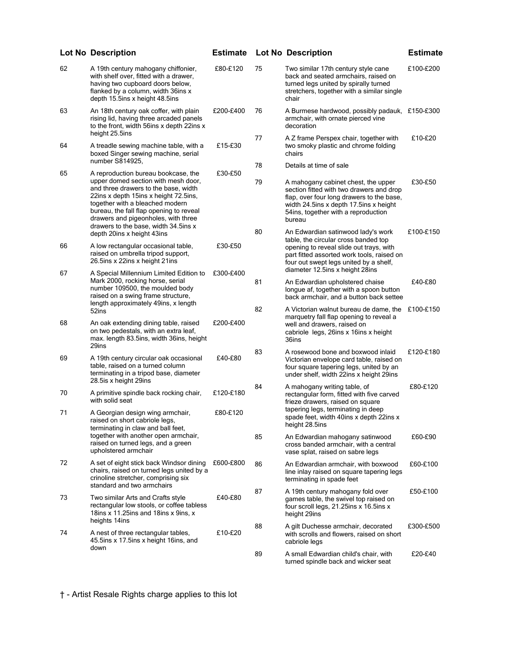|    | <b>Lot No Description</b>                                                                                                                                                                                                                                                         | <b>Estimate</b> |    | <b>Lot No Description</b>                                                                                                                                                                                               | <b>Estimate</b> |
|----|-----------------------------------------------------------------------------------------------------------------------------------------------------------------------------------------------------------------------------------------------------------------------------------|-----------------|----|-------------------------------------------------------------------------------------------------------------------------------------------------------------------------------------------------------------------------|-----------------|
| 62 | A 19th century mahogany chiffonier,<br>with shelf over, fitted with a drawer,<br>having two cupboard doors below,<br>flanked by a column, width 36ins x<br>depth 15.5ins x height 48.5ins                                                                                         | £80-£120        | 75 | Two similar 17th century style cane<br>back and seated armchairs, raised on<br>turned legs united by spirally turned<br>stretchers, together with a similar single<br>chair                                             | £100-£200       |
| 63 | An 18th century oak coffer, with plain<br>rising lid, having three arcaded panels<br>to the front, width 56ins x depth 22ins x<br>height 25.5ins                                                                                                                                  | £200-£400       | 76 | A Burmese hardwood, possibly padauk, £150-£300<br>armchair, with ornate pierced vine<br>decoration                                                                                                                      |                 |
| 64 | A treadle sewing machine table, with a<br>boxed Singer sewing machine, serial<br>number S814925,                                                                                                                                                                                  | £15-£30         | 77 | A Z frame Perspex chair, together with<br>two smoky plastic and chrome folding<br>chairs                                                                                                                                | £10-£20         |
| 65 | A reproduction bureau bookcase, the                                                                                                                                                                                                                                               | £30-£50         | 78 | Details at time of sale                                                                                                                                                                                                 |                 |
|    | upper domed section with mesh door,<br>and three drawers to the base, width<br>22ins x depth 15ins x height 72.5ins,<br>together with a bleached modern<br>bureau, the fall flap opening to reveal<br>drawers and pigeonholes, with three<br>drawers to the base, width 34.5ins x |                 | 79 | A mahogany cabinet chest, the upper<br>section fitted with two drawers and drop<br>flap, over four long drawers to the base,<br>width 24.5ins x depth 17.5ins x height<br>54ins, together with a reproduction<br>bureau | £30-£50         |
| 66 | depth 20ins x height 43ins<br>A low rectangular occasional table,<br>raised on umbrella tripod support,<br>26.5ins x 22ins x height 21ins                                                                                                                                         | £30-£50         | 80 | An Edwardian satinwood lady's work<br>table, the circular cross banded top<br>opening to reveal slide out trays, with<br>part fitted assorted work tools, raised on<br>four out swept legs united by a shelf,           | £100-£150       |
| 67 | A Special Millennium Limited Edition to<br>Mark 2000, rocking horse, serial<br>number 109500, the moulded body                                                                                                                                                                    | £300-£400       | 81 | diameter 12.5ins x height 28ins<br>An Edwardian upholstered chaise<br>longue af, together with a spoon button                                                                                                           | £40-£80         |
|    | raised on a swing frame structure,<br>length approximately 49ins, x length                                                                                                                                                                                                        |                 |    | back armchair, and a button back settee                                                                                                                                                                                 |                 |
| 68 | 52ins<br>An oak extending dining table, raised<br>on two pedestals, with an extra leaf,<br>max. length 83.5ins, width 36ins, height                                                                                                                                               | £200-£400       | 82 | A Victorian walnut bureau de dame, the<br>marquetry fall flap opening to reveal a<br>well and drawers, raised on<br>cabriole legs, 26ins x 16ins x height<br>36ins                                                      | £100-£150       |
| 69 | 29ins<br>A 19th century circular oak occasional<br>table, raised on a turned column<br>terminating in a tripod base, diameter<br>28.5is x height 29ins                                                                                                                            | £40-£80         | 83 | A rosewood bone and boxwood inlaid<br>Victorian envelope card table, raised on<br>four square tapering legs, united by an<br>under shelf, width 22ins x height 29ins                                                    | £120-£180       |
| 70 | A primitive spindle back rocking chair,<br>with solid seat                                                                                                                                                                                                                        | £120-£180       | 84 | A mahogany writing table, of<br>rectangular form, fitted with five carved<br>frieze drawers, raised on square                                                                                                           | £80-£120        |
| 71 | A Georgian design wing armchair,<br>raised on short cabriole legs,<br>terminating in claw and ball feet,                                                                                                                                                                          | £80-£120        |    | tapering legs, terminating in deep<br>spade feet, width 40ins x depth 22ins x<br>height 28.5ins                                                                                                                         |                 |
|    | together with another open armchair,<br>raised on turned legs, and a green<br>upholstered armchair                                                                                                                                                                                |                 | 85 | An Edwardian mahogany satinwood<br>cross banded armchair, with a central<br>vase splat, raised on sabre legs                                                                                                            | £60-£90         |
| 72 | A set of eight stick back Windsor dining<br>chairs, raised on turned legs united by a<br>crinoline stretcher, comprising six<br>standard and two armchairs                                                                                                                        | £600-£800       | 86 | An Edwardian armchair, with boxwood<br>line inlay raised on square tapering legs<br>terminating in spade feet                                                                                                           | £60-£100        |
| 73 | Two similar Arts and Crafts style<br>rectangular low stools, or coffee tabless<br>18ins $x$ 11.25ins and 18ins $x$ 9ins, $x$                                                                                                                                                      | £40-£80         | 87 | A 19th century mahogany fold over<br>games table, the swivel top raised on<br>four scroll legs, 21.25ins x 16.5ins x<br>height 29ins                                                                                    | £50-£100        |
| 74 | heights 14ins<br>A nest of three rectangular tables,<br>45.5ins x 17.5ins x height 16ins, and                                                                                                                                                                                     | £10-£20         | 88 | A gilt Duchesse armchair, decorated<br>with scrolls and flowers, raised on short<br>cabriole legs                                                                                                                       | £300-£500       |
|    | down                                                                                                                                                                                                                                                                              |                 | 89 | A small Edwardian child's chair, with<br>turned spindle back and wicker seat                                                                                                                                            | £20-£40         |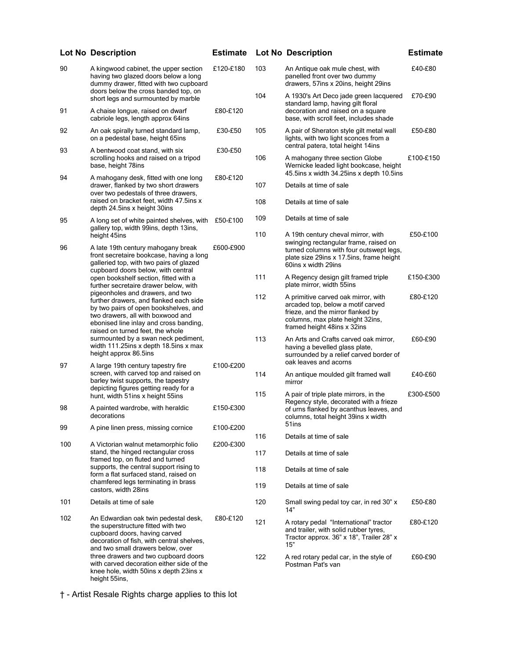|     | <b>Lot No Description</b>                                                                                                                                                                                                              | <b>Estimate</b> |     | <b>Lot No Description</b>                                                                                                                                                        | <b>Estimate</b> |
|-----|----------------------------------------------------------------------------------------------------------------------------------------------------------------------------------------------------------------------------------------|-----------------|-----|----------------------------------------------------------------------------------------------------------------------------------------------------------------------------------|-----------------|
| 90  | A kingwood cabinet, the upper section<br>having two glazed doors below a long<br>dummy drawer, fitted with two cupboard<br>doors below the cross banded top, on                                                                        | £120-£180       | 103 | An Antique oak mule chest, with<br>panelled front over two dummy<br>drawers, 57ins x 20ins, height 29ins                                                                         | £40-£80         |
|     | short legs and surmounted by marble                                                                                                                                                                                                    |                 | 104 | A 1930's Art Deco jade green lacquered<br>standard lamp, having gilt floral                                                                                                      | £70-£90         |
| 91  | A chaise longue, raised on dwarf<br>cabriole legs, length approx 64ins                                                                                                                                                                 | £80-£120        |     | decoration and raised on a square<br>base, with scroll feet, includes shade                                                                                                      |                 |
| 92  | An oak spirally turned standard lamp,<br>on a pedestal base, height 65ins                                                                                                                                                              | £30-£50         | 105 | A pair of Sheraton style gilt metal wall<br>lights, with two light sconces from a<br>central patera, total height 14ins                                                          | £50-£80         |
| 93  | A bentwood coat stand, with six<br>scrolling hooks and raised on a tripod<br>base, height 78ins                                                                                                                                        | £30-£50         | 106 | A mahogany three section Globe<br>Wernicke leaded light bookcase, height                                                                                                         | £100-£150       |
| 94  | A mahogany desk, fitted with one long                                                                                                                                                                                                  | £80-£120        |     | 45.5ins x width 34.25ins x depth 10.5ins                                                                                                                                         |                 |
|     | drawer, flanked by two short drawers<br>over two pedestals of three drawers,                                                                                                                                                           |                 | 107 | Details at time of sale                                                                                                                                                          |                 |
|     | raised on bracket feet, width 47.5ins x<br>depth 24.5ins x height 30ins                                                                                                                                                                |                 | 108 | Details at time of sale                                                                                                                                                          |                 |
| 95  | A long set of white painted shelves, with<br>gallery top, width 99ins, depth 13ins,                                                                                                                                                    | £50-£100        | 109 | Details at time of sale                                                                                                                                                          |                 |
|     | height 45ins                                                                                                                                                                                                                           |                 | 110 | A 19th century cheval mirror, with<br>swinging rectangular frame, raised on                                                                                                      | £50-£100        |
| 96  | A late 19th century mahogany break<br>front secretaire bookcase, having a long<br>galleried top, with two pairs of glazed<br>cupboard doors below, with central                                                                        | £600-£900       |     | turned columns with four outswept legs,<br>plate size 29ins x 17.5ins, frame height<br>60ins x width 29ins                                                                       |                 |
|     | open bookshelf section, fitted with a<br>further secretaire drawer below, with                                                                                                                                                         |                 | 111 | A Regency design gilt framed triple<br>plate mirror, width 55ins                                                                                                                 | £150-£300       |
|     | pigeonholes and drawers, and two<br>further drawers, and flanked each side<br>by two pairs of open bookshelves, and<br>two drawers, all with boxwood and<br>ebonised line inlay and cross banding,<br>raised on turned feet, the whole |                 | 112 | A primitive carved oak mirror, with<br>arcaded top, below a motif carved<br>frieze, and the mirror flanked by<br>columns, max plate height 32ins,<br>framed height 48ins x 32ins | £80-£120        |
|     | surmounted by a swan neck pediment,<br>width 111.25ins x depth 18.5ins x max<br>height approx 86.5ins                                                                                                                                  |                 | 113 | An Arts and Crafts carved oak mirror,<br>having a bevelled glass plate,<br>surrounded by a relief carved border of                                                               | £60-£90         |
| 97  | A large 19th century tapestry fire<br>screen, with carved top and raised on                                                                                                                                                            | £100-£200       |     | oak leaves and acorns                                                                                                                                                            |                 |
|     | barley twist supports, the tapestry                                                                                                                                                                                                    |                 | 114 | An antique moulded gilt framed wall<br>mirror                                                                                                                                    | £40-£60         |
|     | depicting figures getting ready for a<br>hunt, width 51ins x height 55ins                                                                                                                                                              |                 | 115 | A pair of triple plate mirrors, in the<br>Regency style, decorated with a frieze                                                                                                 | £300-£500       |
| 98  | A painted wardrobe, with heraldic<br>decorations                                                                                                                                                                                       | £150-£300       |     | of urns flanked by acanthus leaves, and<br>columns, total height 39ins x width                                                                                                   |                 |
| 99  | A pine linen press, missing cornice                                                                                                                                                                                                    | £100-£200       |     | 51ins                                                                                                                                                                            |                 |
| 100 | A Victorian walnut metamorphic folio                                                                                                                                                                                                   | £200-£300       | 116 | Details at time of sale                                                                                                                                                          |                 |
|     | stand, the hinged rectangular cross<br>framed top, on fluted and turned                                                                                                                                                                |                 | 117 | Details at time of sale                                                                                                                                                          |                 |
|     | supports, the central support rising to<br>form a flat surfaced stand, raised on                                                                                                                                                       |                 | 118 | Details at time of sale                                                                                                                                                          |                 |
|     | chamfered legs terminating in brass<br>castors, width 28ins                                                                                                                                                                            |                 | 119 | Details at time of sale                                                                                                                                                          |                 |
| 101 | Details at time of sale                                                                                                                                                                                                                |                 | 120 | Small swing pedal toy car, in red 30" x<br>14"                                                                                                                                   | £50-£80         |
| 102 | An Edwardian oak twin pedestal desk,<br>the superstructure fitted with two<br>cupboard doors, having carved<br>decoration of fish, with central shelves,<br>and two small drawers below, over                                          | £80-£120        | 121 | A rotary pedal "International" tractor<br>and trailer, with solid rubber tyres,<br>Tractor approx. 36" x 18", Trailer 28" x<br>15"                                               | £80-£120        |
|     | three drawers and two cupboard doors<br>with carved decoration either side of the<br>knee hole, width 50ins x depth 23ins x<br>height 55ins,                                                                                           |                 | 122 | A red rotary pedal car, in the style of<br>Postman Pat's van                                                                                                                     | £60-£90         |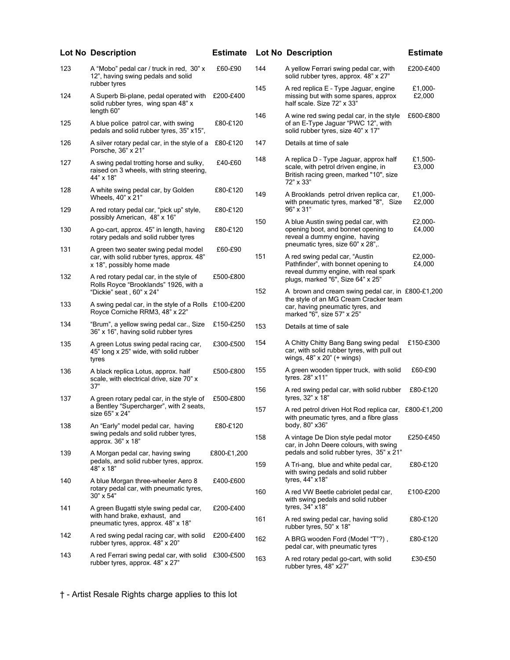|     | Lot No Description                                                                                             | <b>Estimate</b> |     | Lot No Description                                                                                                                     | <b>Estimate</b>   |
|-----|----------------------------------------------------------------------------------------------------------------|-----------------|-----|----------------------------------------------------------------------------------------------------------------------------------------|-------------------|
| 123 | A "Mobo" pedal car / truck in red, 30" x<br>12", having swing pedals and solid                                 | £60-£90         | 144 | A yellow Ferrari swing pedal car, with<br>solid rubber tyres, approx. 48" x 27"                                                        | £200-£400         |
| 124 | rubber tyres<br>A Superb Bi-plane, pedal operated with<br>solid rubber tyres, wing span 48" x                  | £200-£400       | 145 | A red replica E - Type Jaguar, engine<br>missing but with some spares, approx<br>half scale. Size 72" x 33"                            | £1,000-<br>£2,000 |
| 125 | length 60"<br>A blue police patrol car, with swing<br>pedals and solid rubber tyres, 35" x15",                 | £80-£120        | 146 | A wine red swing pedal car, in the style<br>of an E-Type Jaguar "PWC 12", with<br>solid rubber tyres, size 40" x 17"                   | £600-£800         |
| 126 | A silver rotary pedal car, in the style of a<br>Porsche, 36" x 21"                                             | £80-£120        | 147 | Details at time of sale                                                                                                                |                   |
| 127 | A swing pedal trotting horse and sulky,<br>raised on 3 wheels, with string steering,<br>44" x 18"              | £40-£60         | 148 | A replica D - Type Jaguar, approx half<br>scale, with petrol driven engine, in<br>British racing green, marked "10", size<br>72" x 33" | £1.500-<br>£3,000 |
| 128 | A white swing pedal car, by Golden<br>Wheels, $40" \times 21"$                                                 | £80-£120        | 149 | A Brooklands petrol driven replica car,<br>with pneumatic tyres, marked "8", Size                                                      | £1,000-<br>£2,000 |
| 129 | A red rotary pedal car, "pick up" style,<br>possibly American, 48" x 16"                                       | £80-£120        | 150 | 96" x 31"<br>A blue Austin swing pedal car, with                                                                                       | £2.000-           |
| 130 | A go-cart, approx. 45" in length, having<br>rotary pedals and solid rubber tyres                               | £80-£120        |     | opening boot, and bonnet opening to<br>reveal a dummy engine, having<br>pneumatic tyres, size 60" x 28",.                              | £4,000            |
| 131 | A green two seater swing pedal model<br>car, with solid rubber tyres, approx. 48"<br>x 18", possibly home made | £60-£90         | 151 | A red swing pedal car, "Austin<br>Pathfinder", with bonnet opening to<br>reveal dummy engine, with real spark                          | £2,000-<br>£4,000 |
| 132 | A red rotary pedal car, in the style of<br>Rolls Royce "Brooklands" 1926, with a<br>"Dickie" seat, 60" x 24"   | £500-£800       | 152 | plugs, marked "6", Size 64" x 25"<br>A brown and cream swing pedal car, in £800-£1,200                                                 |                   |
| 133 | A swing pedal car, in the style of a Rolls £100-£200<br>Royce Corniche RRM3, 48" x 22"                         |                 |     | the style of an MG Cream Cracker team<br>car, having pneumatic tyres, and<br>marked "6", size 57" x 25"                                |                   |
| 134 | "Brum", a yellow swing pedal car., Size<br>36" x 16", having solid rubber tyres                                | £150-£250       | 153 | Details at time of sale                                                                                                                |                   |
| 135 | A green Lotus swing pedal racing car,<br>45" long x 25" wide, with solid rubber<br>tyres                       | £300-£500       | 154 | A Chitty Chitty Bang Bang swing pedal<br>car, with solid rubber tyres, with pull out<br>wings, $48" \times 20"$ (+ wings)              | £150-£300         |
| 136 | A black replica Lotus, approx. half<br>scale, with electrical drive, size 70" x                                | £500-£800       | 155 | A green wooden tipper truck, with solid<br>tyres. 28" x11"                                                                             | £60-£90           |
| 137 | 37"<br>A green rotary pedal car, in the style of                                                               | £500-£800       | 156 | A red swing pedal car, with solid rubber<br>tyres, 32" x 18"                                                                           | £80-£120          |
|     | a Bentley "Supercharger", with 2 seats,<br>size 65" x 24"                                                      |                 | 157 | A red petrol driven Hot Rod replica car, £800-£1,200<br>with pneumatic tyres, and a fibre glass<br>body, 80" x36"                      |                   |
| 138 | An "Early" model pedal car, having<br>swing pedals and solid rubber tyres.<br>approx. 36" x 18"                | £80-£120        | 158 | A vintage De Dion style pedal motor<br>car, in John Deere colours, with swing                                                          | £250-£450         |
| 139 | A Morgan pedal car, having swing<br>pedals, and solid rubber tyres, approx.                                    | £800-£1,200     | 159 | pedals and solid rubber tyres, 35" x 21"<br>A Tri-ang, blue and white pedal car,                                                       | £80-£120          |
| 140 | 48" x 18"<br>A blue Morgan three-wheeler Aero 8                                                                | £400-£600       |     | with swing pedals and solid rubber<br>tyres, 44" x18"                                                                                  |                   |
|     | rotary pedal car, with pneumatic tyres,<br>$30" \times 54"$                                                    |                 | 160 | A red VW Beetle cabriolet pedal car,<br>with swing pedals and solid rubber<br>tyres, 34" x18"                                          | £100-£200         |
| 141 | A green Bugatti style swing pedal car,<br>with hand brake, exhaust, and<br>pneumatic tyres, approx. 48" x 18"  | £200-£400       | 161 | A red swing pedal car, having solid<br>rubber tyres, 50" x 18"                                                                         | £80-£120          |
| 142 | A red swing pedal racing car, with solid<br>rubber tyres, approx. 48" x 20"                                    | £200-£400       | 162 | A BRG wooden Ford (Model "T"?),<br>pedal car, with pneumatic tyres                                                                     | £80-£120          |
| 143 | A red Ferrari swing pedal car, with solid<br>rubber tyres, approx. 48" x 27"                                   | £300-£500       | 163 | A red rotary pedal go-cart, with solid<br>rubber tyres, 48" x27"                                                                       | £30-£50           |
|     |                                                                                                                |                 |     |                                                                                                                                        |                   |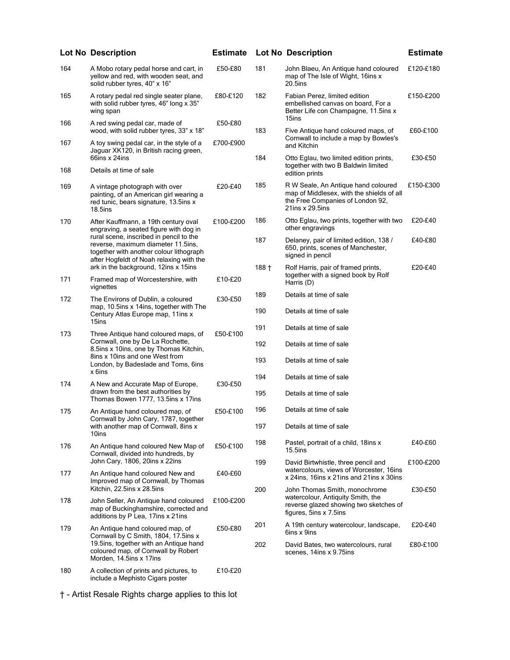|     | <b>Lot No Description</b>                                                                                                                                            | <b>Estimate</b> |         | <b>Lot No Description</b>                                                                                                               | <b>Estimate</b> |
|-----|----------------------------------------------------------------------------------------------------------------------------------------------------------------------|-----------------|---------|-----------------------------------------------------------------------------------------------------------------------------------------|-----------------|
| 164 | A Mobo rotary pedal horse and cart, in<br>yellow and red, with wooden seat, and<br>solid rubber tyres, 40" x 16"                                                     | £50-£80         | 181     | John Blaeu, An Antique hand coloured<br>map of The Isle of Wight, 16ins x<br>$20.5$ ins                                                 | £120-£180       |
| 165 | A rotary pedal red single seater plane,<br>with solid rubber tyres, 46" long x 35"<br>wing span                                                                      | £80-£120        | 182     | Fabian Perez, limited edition<br>embellished canvas on board, For a<br>Better Life con Champagne, 11.5ins x<br>15ins                    | £150-£200       |
| 166 | A red swing pedal car, made of<br>wood, with solid rubber tyres, 33" x 18"                                                                                           | £50-£80         | 183     | Five Antique hand coloured maps, of                                                                                                     | £60-£100        |
| 167 | A toy swing pedal car, in the style of a<br>Jaguar XK120, in British racing green,                                                                                   | £700-£900       |         | Cornwall to include a map by Bowles's<br>and Kitchin                                                                                    |                 |
| 168 | 66ins x 24ins<br>Details at time of sale                                                                                                                             |                 | 184     | Otto Eglau, two limited edition prints,<br>together with two B Baldwin limited<br>edition prints                                        | £30-£50         |
| 169 | A vintage photograph with over<br>painting, of an American girl wearing a<br>red tunic, bears signature, 13.5ins x<br>$18.5$ ins                                     | £20-£40         | 185     | R W Seale, An Antique hand coloured<br>map of Middlesex, with the shields of all<br>the Free Companies of London 92,<br>21ins x 29.5ins | £150-£300       |
| 170 | After Kauffmann, a 19th century oval<br>engraving, a seated figure with dog in                                                                                       | £100-£200       | 186     | Otto Eglau, two prints, together with two<br>other engravings                                                                           | £20-£40         |
|     | rural scene, inscribed in pencil to the<br>reverse, maximum diameter 11.5ins,<br>together with another colour lithograph<br>after Hogfeldt of Noah relaxing with the |                 | 187     | Delaney, pair of limited edition, 138 /<br>650, prints, scenes of Manchester,<br>signed in pencil                                       | £40-£80         |
| 171 | ark in the background, 12ins x 15ins<br>Framed map of Worcestershire, with                                                                                           | £10-£20         | $188 +$ | Rolf Harris, pair of framed prints,<br>together with a signed book by Rolf<br>Harris (D)                                                | £20-£40         |
|     | vignettes                                                                                                                                                            |                 | 189     | Details at time of sale                                                                                                                 |                 |
| 172 | The Environs of Dublin, a coloured<br>map, 10.5ins x 14ins, together with The<br>Century Atlas Europe map, 11ins x                                                   | £30-£50         | 190     | Details at time of sale                                                                                                                 |                 |
| 173 | 15ins<br>Three Antique hand coloured maps, of                                                                                                                        | £50-£100        | 191     | Details at time of sale                                                                                                                 |                 |
|     | Cornwall, one by De La Rochette,<br>8.5ins x 10ins, one by Thomas Kitchin,                                                                                           |                 | 192     | Details at time of sale                                                                                                                 |                 |
|     | 8ins x 10ins and one West from<br>London, by Badeslade and Toms, 6ins<br>x 6ins                                                                                      |                 | 193     | Details at time of sale                                                                                                                 |                 |
| 174 | A New and Accurate Map of Europe,                                                                                                                                    | £30-£50         | 194     | Details at time of sale                                                                                                                 |                 |
|     | drawn from the best authorities by<br>Thomas Bowen 1777, 13.5ins x 17ins                                                                                             |                 | 195     | Details at time of sale                                                                                                                 |                 |
| 175 | An Antique hand coloured map, of<br>Cornwall by John Cary, 1787, together                                                                                            | £50-£100        | 196     | Details at time of sale                                                                                                                 |                 |
|     | with another map of Cornwall, 8ins x<br>10ins                                                                                                                        |                 | 197     | Details at time of sale                                                                                                                 |                 |
| 176 | An Antique hand coloured New Map of<br>Cornwall, divided into hundreds, by                                                                                           | £50-£100        | 198     | Pastel, portrait of a child, 18ins x<br>$15.5$ ins                                                                                      | £40-£60         |
| 177 | John Cary, 1806, 20ins x 22ins<br>An Antique hand coloured New and<br>Improved map of Cornwall, by Thomas                                                            | £40-£60         | 199     | David Birtwhistle, three pencil and<br>watercolours, views of Worcester, 16ins<br>x 24ins, 16ins x 21ins and 21ins x 30ins              | £100-£200       |
|     | Kitchin, 22.5ins x 28.5ins                                                                                                                                           |                 | 200     | John Thomas Smith, monochrome                                                                                                           | £30-£50         |
| 178 | John Seller, An Antique hand coloured<br>map of Buckinghamshire, corrected and<br>additions by P Lea, 17ins x 21ins                                                  | £100-£200       |         | watercolour, Antiquity Smith, the<br>reverse glazed showing two sketches of<br>figures, 5ins x 7.5ins                                   |                 |
| 179 | An Antique hand coloured map, of<br>Cornwall by C Smith, 1804, 17.5ins x                                                                                             | £50-£80         | 201     | A 19th century watercolour, landscape,<br>6ins x 9ins                                                                                   | £20-£40         |
|     | 19.5ins, together with an Antique hand<br>coloured map, of Cornwall by Robert<br>Morden, 14.5ins x 17ins                                                             |                 | 202     | David Bates, two watercolours, rural<br>scenes, 14ins x 9.75ins                                                                         | £80-£100        |
| 180 | A collection of prints and pictures, to<br>include a Mephisto Cigars poster                                                                                          | £10-£20         |         |                                                                                                                                         |                 |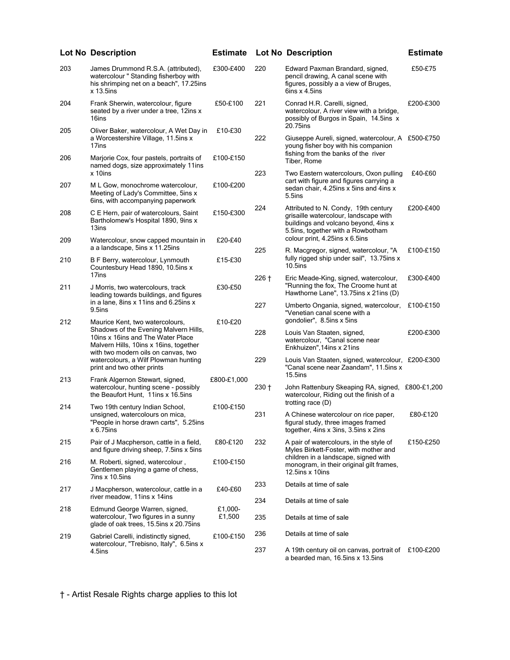|     | <b>Lot No Description</b>                                                                                                                                                                      | <b>Estimate</b>   |         | <b>Lot No Description</b>                                                                                                                                  | <b>Estimate</b> |
|-----|------------------------------------------------------------------------------------------------------------------------------------------------------------------------------------------------|-------------------|---------|------------------------------------------------------------------------------------------------------------------------------------------------------------|-----------------|
| 203 | James Drummond R.S.A. (attributed),<br>watercolour " Standing fisherboy with<br>his shrimping net on a beach", 17.25ins<br>$x$ 13.5ins                                                         | £300-£400         | 220     | Edward Paxman Brandard, signed,<br>pencil drawing, A canal scene with<br>figures, possibly a a view of Bruges,<br>6ins x 4.5ins                            | £50-£75         |
| 204 | Frank Sherwin, watercolour, figure<br>seated by a river under a tree, 12ins x<br>16ins                                                                                                         | £50-£100          | 221     | Conrad H.R. Carelli, signed,<br>watercolour, A river view with a bridge,<br>possibly of Burgos in Spain, 14.5ins x<br>20.75ins                             | £200-£300       |
| 205 | Oliver Baker, watercolour, A Wet Day in<br>a Worcestershire Village, 11.5ins x<br>17ins                                                                                                        | £10-£30           | 222     | Giuseppe Aureli, signed, watercolour, A £500-£750<br>young fisher boy with his companion<br>fishing from the banks of the river                            |                 |
| 206 | Marjorie Cox, four pastels, portraits of<br>named dogs, size approximately 11ins<br>x 10ins                                                                                                    | £100-£150         | 223     | Tiber, Rome<br>Two Eastern watercolours, Oxon pulling                                                                                                      | £40-£60         |
| 207 | M L Gow, monochrome watercolour,<br>Meeting of Lady's Committee, 5ins x<br>6ins, with accompanying paperwork                                                                                   | £100-£200         |         | cart with figure and figures carrying a<br>sedan chair, 4.25ins x 5ins and 4ins x<br>5.5ins                                                                |                 |
| 208 | C E Hern, pair of watercolours, Saint<br>Bartholomew's Hospital 1890, 9ins x<br>13ins                                                                                                          | £150-£300         | 224     | Attributed to N. Condy, 19th century<br>grisaille watercolour, landscape with<br>buildings and volcano beyond, 4ins x<br>5.5ins, together with a Rowbotham | £200-£400       |
| 209 | Watercolour, snow capped mountain in<br>a a landscape, 5ins x 11.25ins                                                                                                                         | £20-£40           |         | colour print, 4.25ins x 6.5ins                                                                                                                             |                 |
| 210 | B F Berry, watercolour, Lynmouth<br>Countesbury Head 1890, 10 5ins x                                                                                                                           | £15-£30           | 225     | R. Macgregor, signed, watercolour, "A<br>fully rigged ship under sail", 13.75ins x<br>$10.5$ ins                                                           | £100-£150       |
| 211 | 17ins<br>J Morris, two watercolours, track<br>leading towards buildings, and figures                                                                                                           | £30-£50           | $226 +$ | Eric Meade-King, signed, watercolour,<br>"Running the fox, The Croome hunt at<br>Hawthorne Lane", 13.75ins x 21ins (D)                                     | £300-£400       |
|     | in a lane, 8ins x 11ins and 6.25ins x<br>9.5ins                                                                                                                                                |                   | 227     | Umberto Ongania, signed, watercolour,<br>"Venetian canal scene with a                                                                                      | £100-£150       |
| 212 | Maurice Kent, two watercolours,<br>Shadows of the Evening Malvern Hills,<br>10ins x 16ins and The Water Place<br>Malvern Hills, 10ins x 16ins, together<br>with two modern oils on canvas, two | £10-£20           | 228     | gondolier", 8.5ins x 5ins<br>Louis Van Staaten, signed,<br>watercolour, "Canal scene near<br>Enkhuizen", 14ins x 21ins                                     | £200-£300       |
|     | watercolours, a Wilf Plowman hunting<br>print and two other prints                                                                                                                             |                   | 229     | Louis Van Staaten, signed, watercolour, £200-£300<br>"Canal scene near Zaandam", 11.5ins x<br>$15.5$ ins                                                   |                 |
| 213 | Frank Algernon Stewart, signed,<br>watercolour, hunting scene - possibly<br>the Beaufort Hunt. 11ins x 16.5ins                                                                                 | £800-£1,000       | $230 +$ | John Rattenbury Skeaping RA, signed, £800-£1,200<br>watercolour, Riding out the finish of a                                                                |                 |
| 214 | Two 19th century Indian School,                                                                                                                                                                | £100-£150         |         | trotting race $(D)$                                                                                                                                        |                 |
|     | unsigned, watercolours on mica,<br>"People in horse drawn carts", 5.25ins<br>$x 6.75$ ins                                                                                                      |                   | 231     | A Chinese watercolour on rice paper,<br>figural study, three images framed<br>together, 4ins x 3ins, 3.5ins x 2ins                                         | £80-£120        |
| 215 | Pair of J Macpherson, cattle in a field,<br>and figure driving sheep, 7.5ins x 5ins                                                                                                            | £80-£120          | 232     | A pair of watercolours, in the style of<br>Myles Birkett-Foster, with mother and                                                                           | £150-£250       |
| 216 | M. Roberti, signed, watercolour,<br>Gentlemen playing a game of chess,<br>7ins x 10.5ins                                                                                                       | £100-£150         |         | children in a landscape, signed with<br>monogram, in their original gilt frames,<br>12.5ins $x$ 10ins                                                      |                 |
| 217 | J Macpherson, watercolour, cattle in a                                                                                                                                                         | £40-£60           | 233     | Details at time of sale                                                                                                                                    |                 |
|     | river meadow, 11ins x 14ins                                                                                                                                                                    |                   | 234     | Details at time of sale                                                                                                                                    |                 |
| 218 | Edmund George Warren, signed,<br>watercolour, Two figures in a sunny<br>glade of oak trees, 15.5ins x 20.75ins                                                                                 | £1,000-<br>£1,500 | 235     | Details at time of sale                                                                                                                                    |                 |
| 219 | Gabriel Carelli, indistinctly signed,                                                                                                                                                          | £100-£150         | 236     | Details at time of sale                                                                                                                                    |                 |
|     | watercolour, "Trebisno, Italy", 6.5ins x<br>4.5ins                                                                                                                                             |                   | 237     | A 19th century oil on canvas, portrait of £100-£200<br>a bearded man, 16.5ins x 13.5ins                                                                    |                 |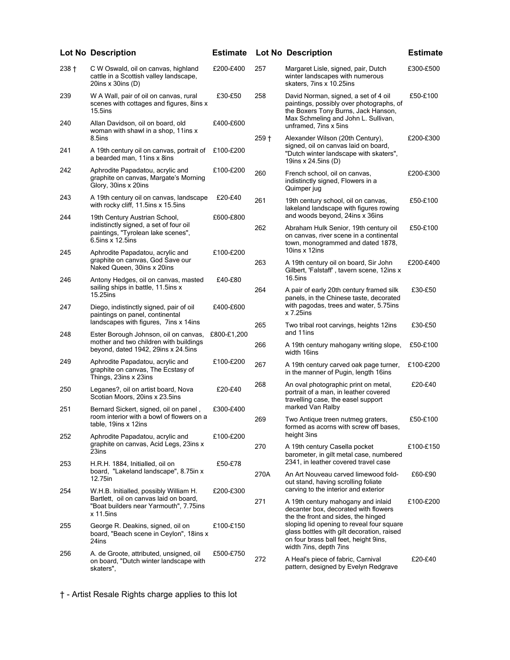|         | <b>Lot No Description</b>                                                                                                         | <b>Estimate</b> |         | <b>Lot No Description</b>                                                                                                                                                                         | <b>Estimate</b> |
|---------|-----------------------------------------------------------------------------------------------------------------------------------|-----------------|---------|---------------------------------------------------------------------------------------------------------------------------------------------------------------------------------------------------|-----------------|
| $238 +$ | C W Oswald, oil on canvas, highland<br>cattle in a Scottish valley landscape,<br>20ins $x$ 30ins (D)                              | £200-£400       | 257     | Margaret Lisle, signed, pair, Dutch<br>winter landscapes with numerous<br>skaters, 7ins x 10.25ins                                                                                                | £300-£500       |
| 239     | W A Wall, pair of oil on canvas, rural<br>scenes with cottages and figures, 8ins x<br>$15.5$ ins                                  | £30-£50         | 258     | David Norman, signed, a set of 4 oil<br>paintings, possibly over photographs, of<br>the Boxers Tony Burns, Jack Hanson,                                                                           | £50-£100        |
| 240     | Allan Davidson, oil on board, old<br>woman with shawl in a shop, 11ins x<br>8.5ins                                                | £400-£600       | $259 +$ | Max Schmeling and John L. Sullivan,<br>unframed, 7ins x 5ins<br>Alexander Wilson (20th Century),                                                                                                  | £200-£300       |
| 241     | A 19th century oil on canvas, portrait of<br>a bearded man, 11ins x 8ins                                                          | £100-£200       |         | signed, oil on canvas laid on board,<br>"Dutch winter landscape with skaters",<br>19ins x 24.5ins (D)                                                                                             |                 |
| 242     | Aphrodite Papadatou, acrylic and<br>graphite on canvas, Margate's Morning<br>Glory, 30ins x 20ins                                 | £100-£200       | 260     | French school, oil on canvas,<br>indistinctly signed, Flowers in a<br>Quimper jug                                                                                                                 | £200-£300       |
| 243     | A 19th century oil on canvas, landscape<br>with rocky cliff, 11.5ins x 15.5ins                                                    | £20-£40         | 261     | 19th century school, oil on canvas,<br>lakeland landscape with figures rowing                                                                                                                     | £50-£100        |
| 244     | 19th Century Austrian School,<br>indistinctly signed, a set of four oil<br>paintings, "Tyrolean lake scenes",<br>6.5ins x 12.5ins | £600-£800       | 262     | and woods beyond, 24ins x 36ins<br>Abraham Hulk Senior, 19th century oil<br>on canvas, river scene in a continental<br>town, monogrammed and dated 1878,                                          | £50-£100        |
| 245     | Aphrodite Papadatou, acrylic and<br>graphite on canvas, God Save our<br>Naked Queen, 30ins x 20ins                                | £100-£200       | 263     | 10ins x 12ins<br>A 19th century oil on board, Sir John<br>Gilbert, 'Falstaff', tavern scene, 12ins x                                                                                              | £200-£400       |
| 246     | Antony Hedges, oil on canvas, masted<br>sailing ships in battle, 11.5ins x<br>15.25ins                                            | £40-£80         | 264     | 16.5ins<br>A pair of early 20th century framed silk<br>panels, in the Chinese taste, decorated                                                                                                    | £30-£50         |
| 247     | Diego, indistinctly signed, pair of oil<br>paintings on panel, continental                                                        | £400-£600       |         | with pagodas, trees and water, 5.75ins<br>x 7.25ins                                                                                                                                               |                 |
| 248     | landscapes with figures, 7 ins x 14 ins<br>Ester Borough Johnson, oil on canvas,                                                  | £800-£1,200     | 265     | Two tribal root carvings, heights 12ins<br>and 11ins                                                                                                                                              | £30-£50         |
|         | mother and two children with buildings<br>beyond, dated 1942, 29ins x 24.5ins                                                     |                 | 266     | A 19th century mahogany writing slope,<br>width 16ins                                                                                                                                             | £50-£100        |
| 249     | Aphrodite Papadatou, acrylic and<br>graphite on canvas, The Ecstasy of<br>Things, 23ins x 23ins                                   | £100-£200       | 267     | A 19th century carved oak page turner,<br>in the manner of Pugin, length 16ins                                                                                                                    | £100-£200       |
| 250     | Leganes?, oil on artist board, Nova<br>Scotian Moors, 20ins x 23.5ins                                                             | £20-£40         | 268     | An oval photographic print on metal,<br>portrait of a man, in leather covered<br>travelling case, the easel support                                                                               | £20-£40         |
| 251     | Bernard Sickert, signed, oil on panel,<br>room interior with a bowl of flowers on a                                               | £300-£400       | 269     | marked Van Ralby<br>Two Antique treen nutmeg graters,                                                                                                                                             | £50-£100        |
| 252     | table, 19ins x 12ins<br>Aphrodite Papadatou, acrylic and                                                                          | £100-£200       |         | formed as acorns with screw off bases,<br>height 3ins                                                                                                                                             |                 |
|         | graphite on canvas, Acid Legs, 23ins x<br>23ins                                                                                   |                 | 270     | A 19th century Casella pocket<br>barometer, in gilt metal case, numbered<br>2341, in leather covered travel case                                                                                  | £100-£150       |
| 253     | H.R.H. 1884, Initialled, oil on<br>board, "Lakeland landscape", 8.75 in x<br>12.75in                                              | £50-£78         | 270A    | An Art Nouveau carved limewood fold-<br>out stand, having scrolling foliate                                                                                                                       | £60-£90         |
| 254     | W.H.B. Initialled, possibly William H.<br>Bartlett, oil on canvas laid on board,<br>"Boat builders near Yarmouth", 7.75ins        | £200-£300       | 271     | carving to the interior and exterior<br>A 19th century mahogany and inlaid<br>decanter box, decorated with flowers                                                                                | £100-£200       |
| 255     | $x$ 11.5ins<br>George R. Deakins, signed, oil on<br>board, "Beach scene in Ceylon", 18ins x<br>24ins                              | £100-£150       |         | the the front and sides, the hinged<br>sloping lid opening to reveal four square<br>glass bottles with gilt decoration, raised<br>on four brass ball feet, height 9ins,<br>width 7ins, depth 7ins |                 |
| 256     | A. de Groote, attributed, unsigned, oil<br>on board, "Dutch winter landscape with<br>skaters",                                    | £500-£750       | 272     | A Heal's piece of fabric, Carnival<br>pattern, designed by Evelyn Redgrave                                                                                                                        | £20-£40         |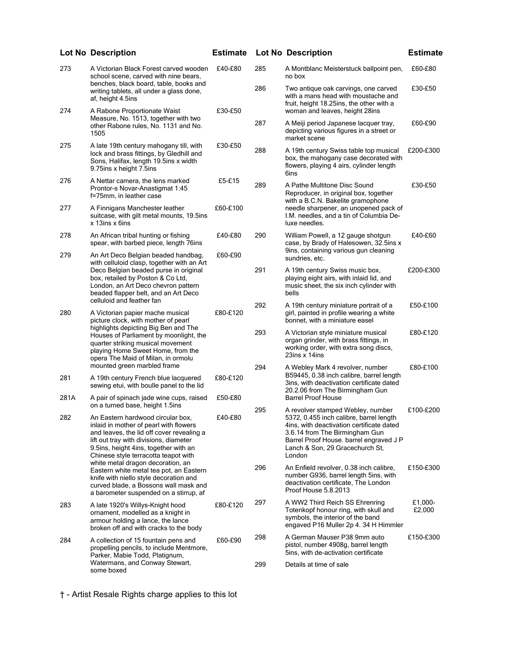|      | <b>Lot No Description</b>                                                                                                                                                                                                                                                                                                                                                                                                                                        | <b>Estimate</b> |     | <b>Lot No Description</b>                                                                                                                                                                                      | <b>Estimate</b>   |
|------|------------------------------------------------------------------------------------------------------------------------------------------------------------------------------------------------------------------------------------------------------------------------------------------------------------------------------------------------------------------------------------------------------------------------------------------------------------------|-----------------|-----|----------------------------------------------------------------------------------------------------------------------------------------------------------------------------------------------------------------|-------------------|
| 273  | A Victorian Black Forest carved wooden<br>school scene, carved with nine bears,                                                                                                                                                                                                                                                                                                                                                                                  | £40-£80         | 285 | A Montblanc Meisterstuck ballpoint pen,<br>no box                                                                                                                                                              | £60-£80           |
|      | benches, black board, table, books and<br>writing tablets, all under a glass done,<br>af, height 4.5ins                                                                                                                                                                                                                                                                                                                                                          |                 | 286 | Two antique oak carvings, one carved<br>with a mans head with moustache and<br>fruit, height 18.25ins, the other with a                                                                                        | £30-£50           |
| 274  | A Rabone Proportionate Waist<br>Measure, No. 1513, together with two                                                                                                                                                                                                                                                                                                                                                                                             | £30-£50         |     | woman and leaves, height 28ins                                                                                                                                                                                 |                   |
|      | other Rabone rules, No. 1131 and No.<br>1505                                                                                                                                                                                                                                                                                                                                                                                                                     |                 | 287 | A Meiji period Japanese lacquer tray,<br>depicting various figures in a street or<br>market scene                                                                                                              | £60-£90           |
| 275  | A late 19th century mahogany till, with<br>lock and brass fittings, by Gledhill and<br>Sons, Halifax, length 19.5ins x width<br>9.75ins x height 7.5ins                                                                                                                                                                                                                                                                                                          | £30-£50         | 288 | A 19th century Swiss table top musical<br>box, the mahogany case decorated with<br>flowers, playing 4 airs, cylinder length<br>6ins                                                                            | £200-£300         |
| 276  | A Nettar camera, the lens marked<br>Prontor-s Novar-Anastigmat 1:45<br>f=75mm, in leather case                                                                                                                                                                                                                                                                                                                                                                   | £5-£15          | 289 | A Pathe Multitone Disc Sound<br>Reproducer, in original box, together<br>with a B.C.N. Bakelite gramophone                                                                                                     | £30-£50           |
| 277  | A Finnigans Manchester leather<br>suitcase, with gilt metal mounts, 19.5ins<br>x 13ins x 6ins                                                                                                                                                                                                                                                                                                                                                                    | £60-£100        |     | needle sharpener, an unopened pack of<br>I.M. needles, and a tin of Columbia De-<br>luxe needles.                                                                                                              |                   |
| 278  | An African tribal hunting or fishing<br>spear, with barbed piece, length 76ins                                                                                                                                                                                                                                                                                                                                                                                   | £40-£80         | 290 | William Powell, a 12 gauge shotgun<br>case, by Brady of Halesowen, 32.5ins x                                                                                                                                   | £40-£60           |
| 279  | An Art Deco Belgian beaded handbag,<br>with celluloid clasp, together with an Art<br>Deco Belgian beaded purse in original<br>box, retailed by Poston & Co Ltd,<br>London, an Art Deco chevron pattern<br>beaded flapper belt, and an Art Deco                                                                                                                                                                                                                   | £60-£90         |     | 9ins, containing various gun cleaning<br>sundries, etc.                                                                                                                                                        |                   |
|      |                                                                                                                                                                                                                                                                                                                                                                                                                                                                  |                 | 291 | A 19th century Swiss music box,<br>playing eight airs, with inlaid lid, and<br>music sheet, the six inch cylinder with<br>bells                                                                                | £200-£300         |
| 280  | celluloid and feather fan<br>A Victorian papier mache musical<br>picture clock, with mother of pearl<br>highlights depicting Big Ben and The<br>Houses of Parliament by moonlight, the<br>quarter striking musical movement<br>playing Home Sweet Home, from the<br>opera The Maid of Milan, in ormolu                                                                                                                                                           | £80-£120        | 292 | A 19th century miniature portrait of a<br>girl, painted in profile wearing a white<br>bonnet, with a miniature easel                                                                                           | £50-£100          |
|      |                                                                                                                                                                                                                                                                                                                                                                                                                                                                  |                 | 293 | A Victorian style miniature musical<br>organ grinder, with brass fittings, in<br>working order, with extra song discs,<br>23ins x 14ins                                                                        | £80-£120          |
| 281  | mounted green marbled frame<br>A 19th century French blue lacquered                                                                                                                                                                                                                                                                                                                                                                                              | £80-£120        | 294 | A Webley Mark 4 revolver, number<br>B59445, 0.38 inch calibre, barrel length<br>3ins, with deactivation certificate dated                                                                                      | £80-£100          |
| 281A | sewing etui, with boulle panel to the lid<br>A pair of spinach jade wine cups, raised                                                                                                                                                                                                                                                                                                                                                                            | £50-£80         |     | 20.2.06 from The Birmingham Gun<br><b>Barrel Proof House</b>                                                                                                                                                   |                   |
|      | on a turned base, height 1.5ins                                                                                                                                                                                                                                                                                                                                                                                                                                  |                 | 295 | A revolver stamped Webley, number                                                                                                                                                                              | £100-£200         |
| 282  | An Eastern hardwood circular box,<br>inlaid in mother of pearl with flowers<br>and leaves, the lid off cover revealing a<br>lift out tray with divisions, diameter<br>9.5ins, height 4ins, together with an<br>Chinese style terracotta teapot with<br>white metal dragon decoration, an<br>Eastern white metal tea pot, an Eastern<br>knife with niello style decoration and<br>curved blade, a Bossons wall mask and<br>a barometer suspended on a stirrup, af | £40-£80         |     | 5372, 0.455 inch calibre, barrel length<br>4ins, with deactivation certificate dated<br>3.6.14 from The Birmingham Gun<br>Barrel Proof House. barrel engraved J P<br>Lanch & Son, 29 Gracechurch St,<br>London |                   |
|      |                                                                                                                                                                                                                                                                                                                                                                                                                                                                  |                 | 296 | An Enfield revolver, 0.38 inch calibre,<br>number G936, barrel length 5ins, with<br>deactivation certificate, The London<br>Proof House 5.8.2013                                                               | £150-£300         |
| 283  | A late 1920's Willys-Knight hood<br>ornament, modelled as a knight in<br>armour holding a lance, the lance<br>broken off and with cracks to the body                                                                                                                                                                                                                                                                                                             | £80-£120        | 297 | A WW2 Third Reich SS Ehrenring<br>Totenkopf honour ring, with skull and<br>symbols, the interior of the band<br>engaved P16 Muller 2p 4. 34 H Himmler                                                          | £1,000-<br>£2,000 |
| 284  | A collection of 15 fountain pens and<br>propelling pencils, to include Mentmore,<br>Parker, Mabie Todd, Platignum,                                                                                                                                                                                                                                                                                                                                               | £60-£90         | 298 | A German Mauser P38 9mm auto<br>pistol, number 4908g, barrel length<br>5ins, with de-activation certificate                                                                                                    | £150-£300         |
|      | Watermans, and Conway Stewart,<br>some boxed                                                                                                                                                                                                                                                                                                                                                                                                                     |                 | 299 | Details at time of sale                                                                                                                                                                                        |                   |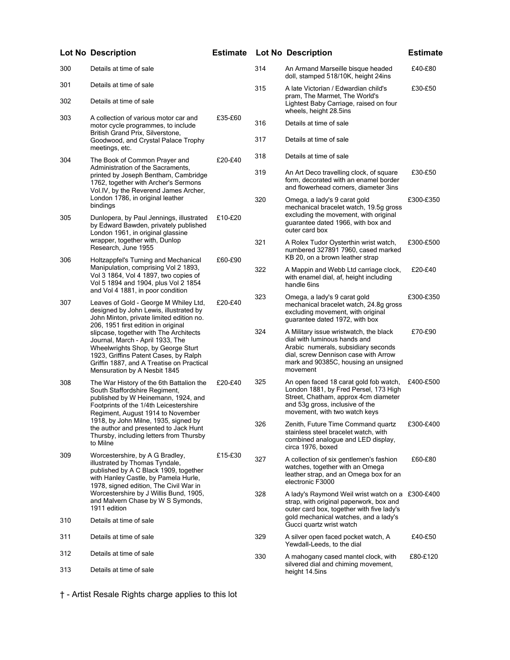|              | <b>Lot No Description</b>                                                                                                                                                                                                                                                                                                                                                                                                                         | <b>Estimate</b> |     | <b>Lot No Description</b>                                                                                                                                                                                 | <b>Estimate</b> |
|--------------|---------------------------------------------------------------------------------------------------------------------------------------------------------------------------------------------------------------------------------------------------------------------------------------------------------------------------------------------------------------------------------------------------------------------------------------------------|-----------------|-----|-----------------------------------------------------------------------------------------------------------------------------------------------------------------------------------------------------------|-----------------|
| 300          | Details at time of sale                                                                                                                                                                                                                                                                                                                                                                                                                           |                 | 314 | An Armand Marseille bisque headed<br>doll, stamped 518/10K, height 24ins                                                                                                                                  | £40-£80         |
| 301          | Details at time of sale                                                                                                                                                                                                                                                                                                                                                                                                                           |                 | 315 | A late Victorian / Edwardian child's                                                                                                                                                                      | £30-£50         |
| 302          | Details at time of sale                                                                                                                                                                                                                                                                                                                                                                                                                           |                 |     | pram, The Marmet, The World's<br>Lightest Baby Carriage, raised on four<br>wheels, height 28.5ins                                                                                                         |                 |
| 303          | A collection of various motor car and<br>motor cycle programmes, to include                                                                                                                                                                                                                                                                                                                                                                       | £35-£60         | 316 | Details at time of sale                                                                                                                                                                                   |                 |
|              | British Grand Prix, Silverstone,<br>Goodwood, and Crystal Palace Trophy<br>meetings, etc.                                                                                                                                                                                                                                                                                                                                                         |                 | 317 | Details at time of sale                                                                                                                                                                                   |                 |
| 304          | The Book of Common Prayer and<br>Administration of the Sacraments,                                                                                                                                                                                                                                                                                                                                                                                | £20-£40         | 318 | Details at time of sale                                                                                                                                                                                   |                 |
|              | printed by Joseph Bentham, Cambridge<br>1762, together with Archer's Sermons<br>Vol.IV, by the Reverend James Archer,                                                                                                                                                                                                                                                                                                                             |                 | 319 | An Art Deco travelling clock, of square<br>form, decorated with an enamel border<br>and flowerhead corners, diameter 3ins                                                                                 | £30-£50         |
|              | London 1786, in original leather<br>bindings                                                                                                                                                                                                                                                                                                                                                                                                      |                 | 320 | Omega, a lady's 9 carat gold<br>mechanical bracelet watch, 19.5g gross                                                                                                                                    | £300-£350       |
| 305          | Dunlopera, by Paul Jennings, illustrated<br>by Edward Bawden, privately published<br>London 1961, in original glassine                                                                                                                                                                                                                                                                                                                            | £10-£20         |     | excluding the movement, with original<br>guarantee dated 1966, with box and<br>outer card box                                                                                                             |                 |
| 306          | wrapper, together with, Dunlop<br>Research, June 1955<br>Holtzappfel's Turning and Mechanical                                                                                                                                                                                                                                                                                                                                                     | £60-£90         | 321 | A Rolex Tudor Oysterthin wrist watch,<br>numbered 327891 7960, cased marked<br>KB 20, on a brown leather strap                                                                                            | £300-£500       |
|              | Manipulation, comprising Vol 2 1893,<br>Vol 3 1864, Vol 4 1897, two copies of<br>Vol 5 1894 and 1904, plus Vol 2 1854                                                                                                                                                                                                                                                                                                                             |                 | 322 | A Mappin and Webb Ltd carriage clock,<br>with enamel dial, af, height including<br>handle 6ins                                                                                                            | £20-£40         |
| 307          | and Vol 4 1881, in poor condition<br>Leaves of Gold - George M Whiley Ltd,<br>designed by John Lewis, illustrated by<br>John Minton, private limited edition no.<br>206, 1951 first edition in original<br>slipcase, together with The Architects<br>Journal, March - April 1933, The<br>Wheelwrights Shop, by George Sturt<br>1923, Griffins Patent Cases, by Ralph<br>Griffin 1887, and A Treatise on Practical<br>Mensuration by A Nesbit 1845 | £20-£40         | 323 | Omega, a lady's 9 carat gold<br>mechanical bracelet watch, 24.8g gross<br>excluding movement, with original<br>guarantee dated 1972, with box                                                             | £300-£350       |
|              |                                                                                                                                                                                                                                                                                                                                                                                                                                                   |                 | 324 | A Military issue wristwatch, the black<br>dial with luminous hands and<br>Arabic numerals, subsidiary seconds<br>dial, screw Dennison case with Arrow<br>mark and 90385C, housing an unsigned<br>movement | £70-£90         |
| 308          | The War History of the 6th Battalion the<br>South Staffordshire Regiment,<br>published by W Heinemann, 1924, and<br>Footprints of the 1/4th Leicestershire<br>Regiment, August 1914 to November                                                                                                                                                                                                                                                   | £20-£40         | 325 | An open faced 18 carat gold fob watch,<br>London 1881, by Fred Persel, 173 High<br>Street, Chatham, approx 4cm diameter<br>and 53g gross, inclusive of the<br>movement, with two watch keys               | £400-£500       |
|              | 1918, by John Milne, 1935, signed by<br>the author and presented to Jack Hunt<br>Thursby, including letters from Thursby<br>to Milne                                                                                                                                                                                                                                                                                                              |                 | 326 | Zenith, Future Time Command quartz<br>stainless steel bracelet watch, with<br>combined analogue and LED display,<br>circa 1976, boxed                                                                     | £300-£400       |
| 309          | Worcestershire, by A G Bradley,<br>illustrated by Thomas Tyndale,<br>published by A C Black 1909, together<br>with Hanley Castle, by Pamela Hurle,<br>1978, signed edition, The Civil War in                                                                                                                                                                                                                                                      | £15-£30         | 327 | A collection of six gentlemen's fashion<br>watches, together with an Omega<br>leather strap, and an Omega box for an<br>electronic F3000                                                                  | £60-£80         |
| 1911 edition | Worcestershire by J Willis Bund, 1905,<br>and Malvern Chase by W S Symonds,                                                                                                                                                                                                                                                                                                                                                                       |                 | 328 | A lady's Raymond Weil wrist watch on a £300-£400<br>strap, with original paperwork, box and<br>outer card box, together with five lady's                                                                  |                 |
| 310          | Details at time of sale                                                                                                                                                                                                                                                                                                                                                                                                                           |                 |     | gold mechanical watches, and a lady's<br>Gucci quartz wrist watch                                                                                                                                         |                 |
| 311          | Details at time of sale                                                                                                                                                                                                                                                                                                                                                                                                                           |                 | 329 | A silver open faced pocket watch, A<br>Yewdall-Leeds, to the dial                                                                                                                                         | £40-£50         |
| 312          | Details at time of sale                                                                                                                                                                                                                                                                                                                                                                                                                           |                 | 330 | A mahogany cased mantel clock, with<br>silvered dial and chiming movement,                                                                                                                                | £80-£120        |
| 313          | Details at time of sale                                                                                                                                                                                                                                                                                                                                                                                                                           |                 |     | height 14.5ins                                                                                                                                                                                            |                 |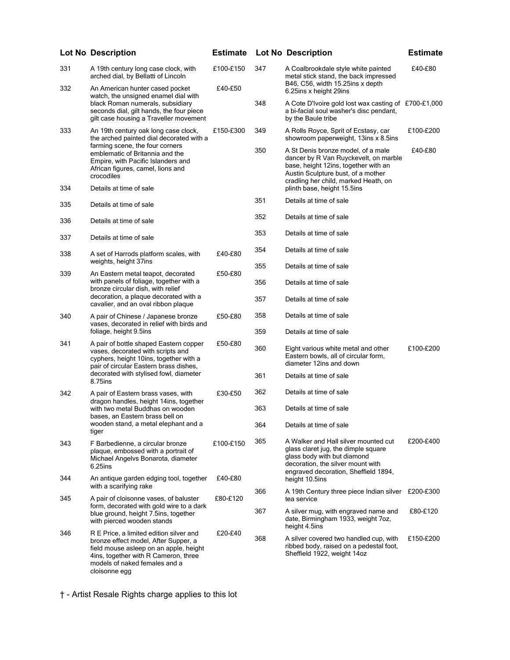|     | <b>Lot No Description</b>                                                                                                                                                                                           | <b>Estimate</b> |     | <b>Lot No Description</b>                                                                                                                                                                         | <b>Estimate</b> |
|-----|---------------------------------------------------------------------------------------------------------------------------------------------------------------------------------------------------------------------|-----------------|-----|---------------------------------------------------------------------------------------------------------------------------------------------------------------------------------------------------|-----------------|
| 331 | A 19th century long case clock, with<br>arched dial, by Bellatti of Lincoln                                                                                                                                         | £100-£150       | 347 | A Coalbrookdale style white painted<br>metal stick stand, the back impressed                                                                                                                      | £40-£80         |
| 332 | An American hunter cased pocket<br>watch, the unsigned enamel dial with                                                                                                                                             | £40-£50         |     | B46, C56, width 15.25ins x depth<br>6.25ins x height 29ins                                                                                                                                        |                 |
|     | black Roman numerals, subsidiary<br>seconds dial, gilt hands, the four piece<br>gilt case housing a Traveller movement                                                                                              |                 | 348 | A Cote D'Ivoire gold lost wax casting of £700-£1,000<br>a bi-facial soul washer's disc pendant,<br>by the Baule tribe                                                                             |                 |
| 333 | An 19th century oak long case clock,<br>the arched painted dial decorated with a                                                                                                                                    | £150-£300       | 349 | A Rolls Royce, Sprit of Ecstasy, car<br>showroom paperweight, 13ins x 8.5ins                                                                                                                      | £100-£200       |
|     | farming scene, the four corners<br>emblematic of Britannia and the<br>Empire, with Pacific Islanders and<br>African figures, camel, lions and<br>crocodiles                                                         |                 | 350 | A St Denis bronze model, of a male<br>dancer by R Van Ruyckevelt, on marble<br>base, height 12ins, together with an<br>Austin Sculpture bust, of a mother<br>cradling her child, marked Heath, on | £40-£80         |
| 334 | Details at time of sale                                                                                                                                                                                             |                 |     | plinth base, height 15.5ins                                                                                                                                                                       |                 |
| 335 | Details at time of sale                                                                                                                                                                                             |                 | 351 | Details at time of sale                                                                                                                                                                           |                 |
| 336 | Details at time of sale                                                                                                                                                                                             |                 | 352 | Details at time of sale                                                                                                                                                                           |                 |
| 337 | Details at time of sale                                                                                                                                                                                             |                 | 353 | Details at time of sale                                                                                                                                                                           |                 |
| 338 | A set of Harrods platform scales, with                                                                                                                                                                              | £40-£80         | 354 | Details at time of sale                                                                                                                                                                           |                 |
|     | weights, height 37ins                                                                                                                                                                                               |                 | 355 | Details at time of sale                                                                                                                                                                           |                 |
| 339 | An Eastern metal teapot, decorated<br>with panels of foliage, together with a<br>bronze circular dish, with relief                                                                                                  | £50-£80         | 356 | Details at time of sale                                                                                                                                                                           |                 |
|     | decoration, a plaque decorated with a<br>cavalier, and an oval ribbon plaque                                                                                                                                        |                 | 357 | Details at time of sale                                                                                                                                                                           |                 |
| 340 | A pair of Chinese / Japanese bronze<br>vases, decorated in relief with birds and                                                                                                                                    | £50-£80         | 358 | Details at time of sale                                                                                                                                                                           |                 |
|     | foliage, height 9.5ins                                                                                                                                                                                              |                 | 359 | Details at time of sale                                                                                                                                                                           |                 |
| 341 | A pair of bottle shaped Eastern copper<br>vases, decorated with scripts and<br>cyphers, height 10ins, together with a<br>pair of circular Eastern brass dishes,                                                     | £50-£80         | 360 | Eight various white metal and other<br>Eastern bowls, all of circular form,<br>diameter 12ins and down                                                                                            | £100-£200       |
|     | decorated with stylised fowl, diameter<br>8.75ins                                                                                                                                                                   |                 | 361 | Details at time of sale                                                                                                                                                                           |                 |
| 342 | A pair of Eastern brass vases, with<br>dragon handles, height 14ins, together                                                                                                                                       | £30-£50         | 362 | Details at time of sale                                                                                                                                                                           |                 |
|     | with two metal Buddhas on wooden<br>bases, an Eastern brass bell on                                                                                                                                                 |                 | 363 | Details at time of sale                                                                                                                                                                           |                 |
|     | wooden stand, a metal elephant and a<br>tiger                                                                                                                                                                       |                 | 364 | Details at time of sale                                                                                                                                                                           |                 |
| 343 | F Barbedienne, a circular bronze<br>plaque, embossed with a portrait of<br>Michael Angelvs Bonarota, diameter<br>6.25ins                                                                                            | £100-£150       | 365 | A Walker and Hall silver mounted cut<br>glass claret jug, the dimple square<br>glass body with but diamond<br>decoration, the silver mount with<br>engraved decoration, Sheffield 1894,           | £200-£400       |
| 344 | An antique garden edging tool, together<br>with a scarifying rake                                                                                                                                                   | £40-£80         |     | height 10.5ins                                                                                                                                                                                    |                 |
| 345 | A pair of cloisonne vases, of baluster                                                                                                                                                                              | £80-£120        | 366 | A 19th Century three piece Indian silver £200-£300<br>tea service                                                                                                                                 |                 |
|     | form, decorated with gold wire to a dark<br>blue ground, height 7.5ins, together<br>with pierced wooden stands                                                                                                      |                 | 367 | A silver mug, with engraved name and<br>date, Birmingham 1933, weight 7oz,<br>height 4.5ins                                                                                                       | £80-£120        |
| 346 | R E Price, a limited edition silver and<br>bronze effect model, After Supper, a<br>field mouse asleep on an apple, height<br>4ins, together with R Cameron, three<br>models of naked females and a<br>cloisonne egg | £20-£40         | 368 | A silver covered two handled cup, with<br>ribbed body, raised on a pedestal foot,<br>Sheffield 1922, weight 14oz                                                                                  | £150-£200       |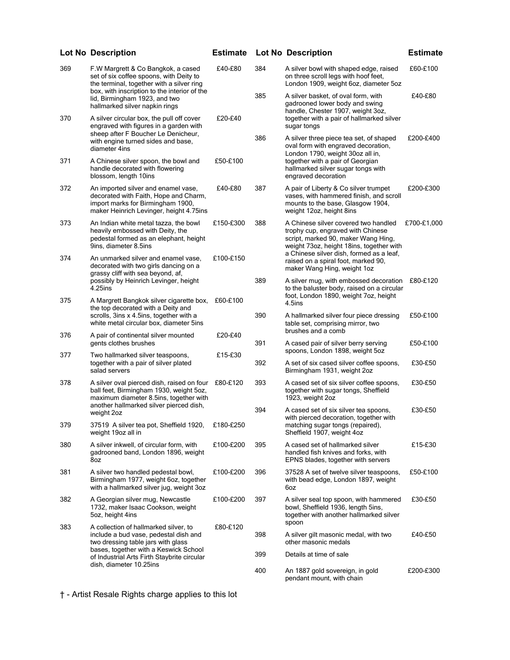|     | <b>Lot No Description</b>                                                                                                                                                                                                                     | <b>Estimate</b> |     | <b>Lot No Description</b>                                                                                                                                                                                | <b>Estimate</b> |
|-----|-----------------------------------------------------------------------------------------------------------------------------------------------------------------------------------------------------------------------------------------------|-----------------|-----|----------------------------------------------------------------------------------------------------------------------------------------------------------------------------------------------------------|-----------------|
| 369 | F.W Margrett & Co Bangkok, a cased<br>set of six coffee spoons, with Deity to<br>the terminal, together with a silver ring<br>box, with inscription to the interior of the<br>lid, Birmingham 1923, and two<br>hallmarked silver napkin rings | £40-£80         | 384 | A silver bowl with shaped edge, raised<br>on three scroll legs with hoof feet,<br>London 1909, weight 6oz, diameter 5oz                                                                                  | £60-£100        |
|     |                                                                                                                                                                                                                                               |                 | 385 | A silver basket, of oval form, with<br>gadrooned lower body and swing<br>handle, Chester 1907, weight 3oz,                                                                                               | £40-£80         |
| 370 | A silver circular box, the pull off cover<br>engraved with figures in a garden with<br>sheep after F Boucher Le Denicheur,                                                                                                                    | £20-£40         |     | together with a pair of hallmarked silver<br>sugar tongs                                                                                                                                                 |                 |
|     | with engine turned sides and base,<br>diameter 4ins                                                                                                                                                                                           |                 | 386 | A silver three piece tea set, of shaped<br>oval form with engraved decoration,<br>London 1790, weight 30oz all in,                                                                                       | £200-£400       |
| 371 | A Chinese silver spoon, the bowl and<br>handle decorated with flowering<br>blossom, length 10ins                                                                                                                                              | £50-£100        |     | together with a pair of Georgian<br>hallmarked silver sugar tongs with<br>engraved decoration                                                                                                            |                 |
| 372 | An imported silver and enamel vase,<br>decorated with Faith, Hope and Charm,<br>import marks for Birmingham 1900,<br>maker Heinrich Levinger, height 4.75ins                                                                                  | £40-£80         | 387 | A pair of Liberty & Co silver trumpet<br>vases, with hammered finish, and scroll<br>mounts to the base, Glasgow 1904,<br>weight 12oz, height 8ins                                                        | £200-£300       |
| 373 | An Indian white metal tazza, the bowl<br>heavily embossed with Deity, the<br>pedestal formed as an elephant, height<br>9ins, diameter 8.5ins                                                                                                  | £150-£300       | 388 | A Chinese silver covered two handled<br>trophy cup, engraved with Chinese<br>script, marked 90, maker Wang Hing,<br>weight 73oz, height 18ins, together with<br>a Chinese silver dish, formed as a leaf, | £700-£1,000     |
| 374 | An unmarked silver and enamel vase,<br>decorated with two girls dancing on a<br>grassy cliff with sea beyond, af,                                                                                                                             | £100-£150       |     | raised on a spiral foot, marked 90,<br>maker Wang Hing, weight 1oz                                                                                                                                       |                 |
|     | possibly by Heinrich Levinger, height<br>4.25ins                                                                                                                                                                                              |                 | 389 | A silver mug, with embossed decoration £80-£120<br>to the baluster body, raised on a circular<br>foot, London 1890, weight 7oz, height                                                                   |                 |
| 375 | A Margrett Bangkok silver cigarette box,<br>the top decorated with a Deity and<br>scrolls, 3ins x 4.5ins, together with a                                                                                                                     | £60-£100        | 390 | 4.5ins<br>A hallmarked silver four piece dressing                                                                                                                                                        | £50-£100        |
| 376 | white metal circular box, diameter 5ins<br>A pair of continental silver mounted                                                                                                                                                               | £20-£40         |     | table set, comprising mirror, two<br>brushes and a comb                                                                                                                                                  |                 |
| 377 | gents clothes brushes<br>Two hallmarked silver teaspoons,                                                                                                                                                                                     | £15-£30         | 391 | A cased pair of silver berry serving<br>spoons, London 1898, weight 5oz                                                                                                                                  | £50-£100        |
|     | together with a pair of silver plated<br>salad servers                                                                                                                                                                                        |                 | 392 | A set of six cased silver coffee spoons,<br>Birmingham 1931, weight 2oz                                                                                                                                  | £30-£50         |
| 378 | A silver oval pierced dish, raised on four £80-£120<br>ball feet, Birmingham 1930, weight 5oz,<br>maximum diameter 8.5ins, together with<br>another hallmarked silver pierced dish,                                                           |                 | 393 | A cased set of six silver coffee spoons,<br>together with sugar tongs, Sheffield<br>1923, weight 2oz                                                                                                     | £30-£50         |
|     | weight 2oz                                                                                                                                                                                                                                    |                 | 394 | A cased set of six silver tea spoons,<br>with pierced decoration, together with                                                                                                                          | £30-£50         |
| 379 | 37519 A silver tea pot, Sheffield 1920,<br>weight 19oz all in                                                                                                                                                                                 | £180-£250       |     | matching sugar tongs (repaired),<br>Sheffield 1907, weight 4oz                                                                                                                                           |                 |
| 380 | A silver inkwell, of circular form, with<br>gadrooned band, London 1896, weight<br>8oz                                                                                                                                                        | £100-£200       | 395 | A cased set of hallmarked silver<br>handled fish knives and forks, with<br>EPNS blades, together with servers                                                                                            | £15-£30         |
| 381 | A silver two handled pedestal bowl,<br>Birmingham 1977, weight 6oz, together<br>with a hallmarked silver jug, weight 3oz                                                                                                                      | £100-£200       | 396 | 37528 A set of twelve silver teaspoons,<br>with bead edge, London 1897, weight<br>6oz                                                                                                                    | £50-£100        |
| 382 | A Georgian silver mug, Newcastle<br>1732, maker Isaac Cookson, weight<br>5oz, height 4ins                                                                                                                                                     | £100-£200       | 397 | A silver seal top spoon, with hammered<br>bowl, Sheffield 1936, length 5ins,<br>together with another hallmarked silver<br>spoon                                                                         | £30-£50         |
| 383 | A collection of hallmarked silver, to<br>include a bud vase, pedestal dish and<br>two dressing table jars with glass                                                                                                                          | £80-£120        | 398 | A silver gilt masonic medal, with two<br>other masonic medals                                                                                                                                            | £40-£50         |
|     | bases, together with a Keswick School<br>of Industrial Arts Firth Staybrite circular                                                                                                                                                          |                 | 399 | Details at time of sale                                                                                                                                                                                  |                 |
|     | dish, diameter 10.25ins                                                                                                                                                                                                                       |                 | 400 | An 1887 gold sovereign, in gold<br>pendant mount, with chain                                                                                                                                             | £200-£300       |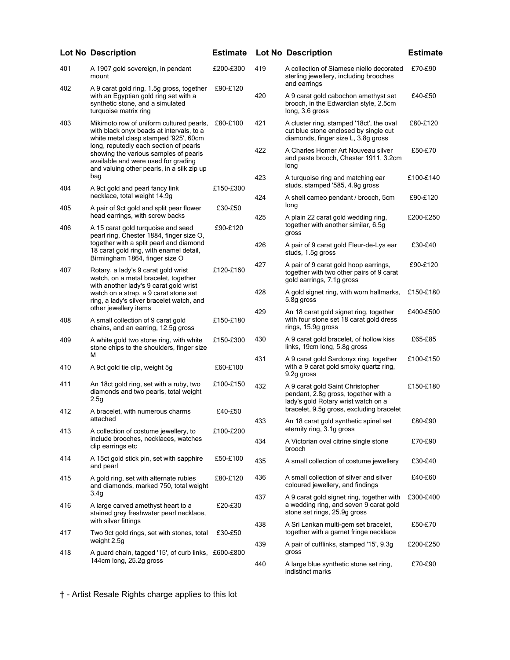|     | <b>Lot No Description</b>                                                                                                                                                                                                                                                                             | <b>Estimate</b> |     | <b>Lot No Description</b>                                                                                                                                   | <b>Estimate</b> |
|-----|-------------------------------------------------------------------------------------------------------------------------------------------------------------------------------------------------------------------------------------------------------------------------------------------------------|-----------------|-----|-------------------------------------------------------------------------------------------------------------------------------------------------------------|-----------------|
| 401 | A 1907 gold sovereign, in pendant<br>mount                                                                                                                                                                                                                                                            | £200-£300       | 419 | A collection of Siamese niello decorated<br>sterling jewellery, including brooches                                                                          | £70-£90         |
| 402 | A 9 carat gold ring, 1.5g gross, together<br>with an Egyptian gold ring set with a<br>synthetic stone, and a simulated<br>turquoise matrix ring                                                                                                                                                       | £90-£120        | 420 | and earrings<br>A 9 carat gold cabochon amethyst set<br>brooch, in the Edwardian style, 2.5cm<br>long, 3.6 gross                                            | £40-£50         |
| 403 | Mikimoto row of uniform cultured pearls,<br>with black onyx beads at intervals, to a<br>white metal clasp stamped '925', 60cm<br>long, reputedly each section of pearls<br>showing the various samples of pearls<br>available and were used for grading<br>and valuing other pearls, in a silk zip up | £80-£100        | 421 | A cluster ring, stamped '18ct', the oval<br>cut blue stone enclosed by single cut<br>diamonds, finger size L, 3.8g gross                                    | £80-£120        |
|     |                                                                                                                                                                                                                                                                                                       |                 | 422 | A Charles Horner Art Nouveau silver<br>and paste brooch, Chester 1911, 3.2cm<br>long                                                                        | £50-£70         |
| 404 | bag<br>A 9ct gold and pearl fancy link                                                                                                                                                                                                                                                                | £150-£300       | 423 | A turquoise ring and matching ear<br>studs, stamped '585, 4.9g gross                                                                                        | £100-£140       |
| 405 | necklace, total weight 14.9g<br>A pair of 9ct gold and split pear flower                                                                                                                                                                                                                              | £30-£50         | 424 | A shell cameo pendant / brooch, 5cm<br>long                                                                                                                 | £90-£120        |
| 406 | head earrings, with screw backs<br>A 15 carat gold turquoise and seed<br>pearl ring, Chester 1884, finger size O,                                                                                                                                                                                     | £90-£120        | 425 | A plain 22 carat gold wedding ring,<br>together with another similar, 6.5g<br>gross                                                                         | £200-£250       |
|     | together with a split pearl and diamond<br>18 carat gold ring, with enamel detail,                                                                                                                                                                                                                    |                 | 426 | A pair of 9 carat gold Fleur-de-Lys ear<br>studs, 1.5g gross                                                                                                | £30-£40         |
| 407 | Birmingham 1864, finger size O<br>Rotary, a lady's 9 carat gold wrist<br>watch, on a metal bracelet, together<br>with another lady's 9 carat gold wrist<br>watch on a strap, a 9 carat stone set<br>ring, a lady's silver bracelet watch, and                                                         | £120-£160       | 427 | A pair of 9 carat gold hoop earrings,<br>together with two other pairs of 9 carat<br>gold earrings, 7.1g gross                                              | £90-£120        |
|     |                                                                                                                                                                                                                                                                                                       |                 | 428 | A gold signet ring, with worn hallmarks,<br>5.8g gross                                                                                                      | £150-£180       |
| 408 | other jewellery items<br>A small collection of 9 carat gold<br>chains, and an earring, 12.5g gross                                                                                                                                                                                                    | £150-£180       | 429 | An 18 carat gold signet ring, together<br>with four stone set 18 carat gold dress<br>rings, 15.9g gross                                                     | £400-£500       |
| 409 | A white gold two stone ring, with white<br>stone chips to the shoulders, finger size                                                                                                                                                                                                                  | £150-£300       | 430 | A 9 carat gold bracelet, of hollow kiss<br>links, 19cm long, 5.8g gross                                                                                     | £65-£85         |
| 410 | м<br>A 9ct gold tie clip, weight 5g                                                                                                                                                                                                                                                                   | £60-£100        | 431 | A 9 carat gold Sardonyx ring, together<br>with a 9 carat gold smoky quartz ring,<br>9.2g gross                                                              | £100-£150       |
| 411 | An 18ct gold ring, set with a ruby, two<br>diamonds and two pearls, total weight<br>2.5g                                                                                                                                                                                                              | £100-£150       | 432 | A 9 carat gold Saint Christopher<br>pendant, 2.8g gross, together with a<br>lady's gold Rotary wrist watch on a<br>bracelet, 9.5g gross, excluding bracelet | £150-£180       |
| 412 | A bracelet, with numerous charms<br>attached                                                                                                                                                                                                                                                          | £40-£50         | 433 | An 18 carat gold synthetic spinel set<br>eternity ring, 3.1g gross                                                                                          | £80-£90         |
| 413 | A collection of costume jewellery, to<br>include brooches, necklaces, watches<br>clip earrings etc                                                                                                                                                                                                    | £100-£200       | 434 | A Victorian oval citrine single stone<br>brooch                                                                                                             | £70-£90         |
| 414 | A 15ct gold stick pin, set with sapphire<br>and pearl                                                                                                                                                                                                                                                 | £50-£100        | 435 | A small collection of costume jewellery                                                                                                                     | £30-£40         |
| 415 | A gold ring, set with alternate rubies<br>and diamonds, marked 750, total weight                                                                                                                                                                                                                      | £80-£120        | 436 | A small collection of silver and silver<br>coloured jewellery, and findings                                                                                 | £40-£60         |
| 416 | 3.4g<br>A large carved amethyst heart to a<br>stained grey freshwater pearl necklace,                                                                                                                                                                                                                 | £20-£30         | 437 | A 9 carat gold signet ring, together with<br>a wedding ring, and seven 9 carat gold<br>stone set rings, 25.9g gross                                         | £300-£400       |
| 417 | with silver fittings<br>Two 9ct gold rings, set with stones, total                                                                                                                                                                                                                                    | £30-£50         | 438 | A Sri Lankan multi-gem set bracelet,<br>together with a garnet fringe necklace                                                                              | £50-£70         |
| 418 | weight 2.5g<br>A guard chain, tagged '15', of curb links, £600-£800<br>144cm long, 25.2g gross                                                                                                                                                                                                        |                 | 439 | A pair of cufflinks, stamped '15', 9.3g<br>gross                                                                                                            | £200-£250       |
|     |                                                                                                                                                                                                                                                                                                       |                 | 440 | A large blue synthetic stone set ring,<br>indistinct marks                                                                                                  | £70-£90         |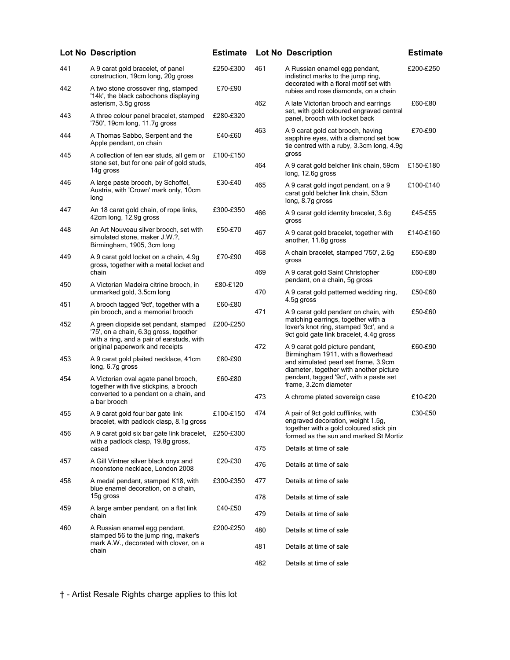|     | <b>Lot No Description</b>                                                                                                    | <b>Estimate</b> |     | <b>Lot No Description</b>                                                                                                | <b>Estimate</b> |
|-----|------------------------------------------------------------------------------------------------------------------------------|-----------------|-----|--------------------------------------------------------------------------------------------------------------------------|-----------------|
| 441 | A 9 carat gold bracelet, of panel<br>construction, 19cm long, 20g gross                                                      | £250-£300       | 461 | A Russian enamel egg pendant,<br>indistinct marks to the jump ring,                                                      | £200-£250       |
| 442 | A two stone crossover ring, stamped<br>'14k', the black cabochons displaying                                                 | £70-£90         |     | decorated with a floral motif set with<br>rubies and rose diamonds, on a chain                                           |                 |
| 443 | asterism, 3.5g gross<br>A three colour panel bracelet, stamped                                                               | £280-£320       | 462 | A late Victorian brooch and earrings<br>set, with gold coloured engraved central<br>panel, brooch with locket back       | £60-£80         |
|     | '750', 19cm long, 11.7g gross                                                                                                |                 | 463 | A 9 carat gold cat brooch, having                                                                                        | £70-£90         |
| 444 | A Thomas Sabbo, Serpent and the<br>Apple pendant, on chain                                                                   | £40-£60         |     | sapphire eyes, with a diamond set bow<br>tie centred with a ruby, 3.3cm long, 4.9g<br>gross                              |                 |
| 445 | A collection of ten ear studs, all gem or<br>stone set, but for one pair of gold studs,<br>14g gross                         | £100-£150       | 464 | A 9 carat gold belcher link chain, 59cm<br>long, 12.6g gross                                                             | £150-£180       |
| 446 | A large paste brooch, by Schoffel,<br>Austria, with 'Crown' mark only, 10cm<br>long                                          | £30-£40         | 465 | A 9 carat gold ingot pendant, on a 9<br>carat gold belcher link chain, 53cm<br>long, 8.7g gross                          | £100-£140       |
| 447 | An 18 carat gold chain, of rope links,<br>42cm long, 12.9g gross                                                             | £300-£350       | 466 | A 9 carat gold identity bracelet, 3.6g<br>gross                                                                          | £45-£55         |
| 448 | An Art Nouveau silver brooch, set with<br>simulated stone, maker J.W.?,<br>Birmingham, 1905, 3cm long                        | £50-£70         | 467 | A 9 carat gold bracelet, together with<br>another, 11.8g gross                                                           | £140-£160       |
| 449 | A 9 carat gold locket on a chain, 4.9g<br>gross, together with a metal locket and                                            | £70-£90         | 468 | A chain bracelet, stamped '750', 2.6g<br>gross                                                                           | £50-£80         |
| 450 | chain<br>A Victorian Madeira citrine brooch, in                                                                              | £80-£120        | 469 | A 9 carat gold Saint Christopher<br>pendant, on a chain, 5g gross                                                        | £60-£80         |
|     | unmarked gold, 3.5cm long                                                                                                    |                 | 470 | A 9 carat gold patterned wedding ring,<br>4.5g gross                                                                     | £50-£60         |
| 451 | A brooch tagged '9ct', together with a<br>pin brooch, and a memorial brooch                                                  | £60-£80         | 471 | A 9 carat gold pendant on chain, with                                                                                    | £50-£60         |
| 452 | A green diopside set pendant, stamped<br>'75', on a chain, 6.3g gross, together<br>with a ring, and a pair of earstuds, with | £200-£250       |     | matching earrings, together with a<br>lover's knot ring, stamped '9ct', and a<br>9ct gold gate link bracelet, 4.4g gross |                 |
|     | original paperwork and receipts                                                                                              |                 | 472 | A 9 carat gold picture pendant,<br>Birmingham 1911, with a flowerhead                                                    | £60-£90         |
| 453 | A 9 carat gold plaited necklace, 41cm<br>long, 6.7g gross                                                                    | £80-£90         |     | and simulated pearl set frame, 3.9cm<br>diameter, together with another picture                                          |                 |
| 454 | A Victorian oval agate panel brooch,<br>together with five stickpins, a brooch<br>converted to a pendant on a chain, and     | £60-£80         |     | pendant, tagged '9ct', with a paste set<br>frame, 3.2cm diameter                                                         |                 |
|     | a bar brooch                                                                                                                 |                 | 473 | A chrome plated sovereign case                                                                                           | £10-£20         |
| 455 | A 9 carat gold four bar gate link<br>bracelet, with padlock clasp, 8.1g gross                                                | £100-£150       | 474 | A pair of 9ct gold cufflinks, with<br>engraved decoration, weight 1.5g,<br>together with a gold coloured stick pin       | £30-£50         |
| 456 | A 9 carat gold six bar gate link bracelet,<br>with a padlock clasp, 19.8q gross,                                             | £250-£300       |     | formed as the sun and marked St Mortiz                                                                                   |                 |
|     | cased                                                                                                                        |                 | 475 | Details at time of sale                                                                                                  |                 |
| 457 | A Gill Vintner silver black onyx and<br>moonstone necklace, London 2008                                                      | £20-£30         | 476 | Details at time of sale                                                                                                  |                 |
| 458 | A medal pendant, stamped K18, with<br>blue enamel decoration, on a chain,                                                    | £300-£350       | 477 | Details at time of sale                                                                                                  |                 |
|     | 15g gross                                                                                                                    |                 | 478 | Details at time of sale                                                                                                  |                 |
| 459 | A large amber pendant, on a flat link<br>chain                                                                               | £40-£50         | 479 | Details at time of sale                                                                                                  |                 |
| 460 | A Russian enamel egg pendant,<br>stamped 56 to the jump ring, maker's<br>mark A.W., decorated with clover, on a<br>chain     | £200-£250       | 480 | Details at time of sale                                                                                                  |                 |
|     |                                                                                                                              |                 | 481 | Details at time of sale                                                                                                  |                 |
|     |                                                                                                                              |                 | 482 | Details at time of sale                                                                                                  |                 |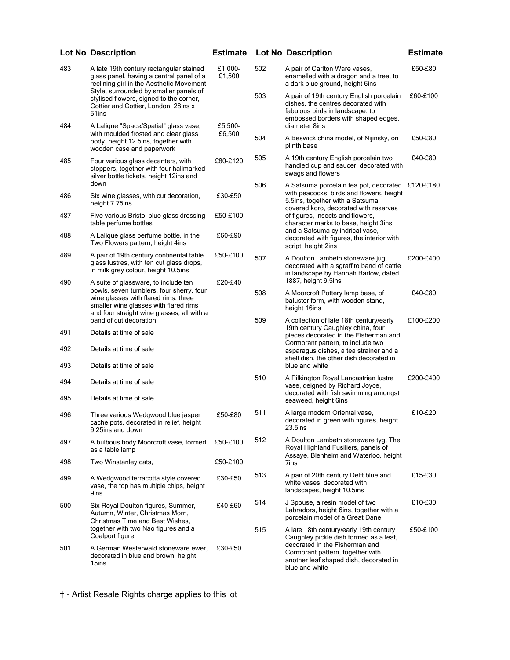|            | <b>Lot No Description</b>                                                                                                                                                                                                                                 | <b>Estimate</b>    |                                                                                                                 | <b>Lot No Description</b>                                                                                                                                                                                          | <b>Estimate</b> |
|------------|-----------------------------------------------------------------------------------------------------------------------------------------------------------------------------------------------------------------------------------------------------------|--------------------|-----------------------------------------------------------------------------------------------------------------|--------------------------------------------------------------------------------------------------------------------------------------------------------------------------------------------------------------------|-----------------|
| 483        | A late 19th century rectangular stained<br>glass panel, having a central panel of a<br>reclining girl in the Aesthetic Movement<br>Style, surrounded by smaller panels of                                                                                 | £1,000-<br>£1,500  | 502                                                                                                             | A pair of Carlton Ware vases,<br>enamelled with a dragon and a tree, to<br>a dark blue ground, height 6ins                                                                                                         | £50-£80         |
|            | stylised flowers, signed to the corner,<br>Cottier and Cottier, London, 28ins x<br>51ins                                                                                                                                                                  |                    | 503                                                                                                             | A pair of 19th century English porcelain<br>dishes, the centres decorated with<br>fabulous birds in landscape, to<br>embossed borders with shaped edges,                                                           | £60-£100        |
| 484        | A Lalique "Space/Spatial" glass vase,<br>with moulded frosted and clear glass<br>body, height 12.5ins, together with<br>wooden case and paperwork                                                                                                         | £5,500-<br>£6,500  |                                                                                                                 | diameter 8ins                                                                                                                                                                                                      |                 |
|            |                                                                                                                                                                                                                                                           |                    | 504                                                                                                             | A Beswick china model, of Nijinsky, on<br>plinth base                                                                                                                                                              | £50-£80         |
| 485        | Four various glass decanters, with<br>stoppers, together with four hallmarked<br>silver bottle tickets, height 12ins and<br>down                                                                                                                          | £80-£120           | 505<br>506                                                                                                      | A 19th century English porcelain two<br>handled cup and saucer, decorated with<br>swags and flowers<br>A Satsuma porcelain tea pot, decorated £120-£180                                                            | £40-£80         |
| 486        | Six wine glasses, with cut decoration,<br>height 7.75ins                                                                                                                                                                                                  | £30-£50            |                                                                                                                 | with peacocks, birds and flowers, height<br>5.5ins, together with a Satsuma<br>covered koro, decorated with reserves                                                                                               |                 |
| 487        | Five various Bristol blue glass dressing<br>table perfume bottles                                                                                                                                                                                         | £50-£100           |                                                                                                                 | of figures, insects and flowers,<br>character marks to base, height 3ins                                                                                                                                           |                 |
| 488        | A Lalique glass perfume bottle, in the<br>Two Flowers pattern, height 4ins                                                                                                                                                                                | £60-£90            |                                                                                                                 | and a Satsuma cylindrical vase,<br>decorated with figures, the interior with<br>script, height 2ins                                                                                                                |                 |
| 489        | A pair of 19th century continental table<br>glass lustres, with ten cut glass drops,<br>in milk grey colour, height 10.5ins                                                                                                                               | £50-£100           | 507                                                                                                             | A Doulton Lambeth stoneware jug.<br>decorated with a sgraffito band of cattle<br>in landscape by Hannah Barlow, dated                                                                                              | £200-£400       |
| 490        | A suite of glassware, to include ten<br>bowls, seven tumblers, four sherry, four<br>wine glasses with flared rims, three<br>smaller wine glasses with flared rims<br>and four straight wine glasses, all with a<br>band of cut decoration                 | £20-£40            |                                                                                                                 | 1887, height 9.5ins                                                                                                                                                                                                |                 |
|            |                                                                                                                                                                                                                                                           |                    | 508                                                                                                             | A Moorcroft Pottery lamp base, of<br>baluster form, with wooden stand,<br>height 16ins                                                                                                                             | £40-£80         |
|            |                                                                                                                                                                                                                                                           |                    | 509                                                                                                             | A collection of late 18th century/early                                                                                                                                                                            | £100-£200       |
| 491        | Details at time of sale                                                                                                                                                                                                                                   |                    | 19th century Caughley china, four<br>pieces decorated in the Fisherman and<br>Cormorant pattern, to include two |                                                                                                                                                                                                                    |                 |
| 492<br>493 | Details at time of sale<br>Details at time of sale                                                                                                                                                                                                        |                    |                                                                                                                 | asparagus dishes, a tea strainer and a<br>shell dish, the other dish decorated in<br>blue and white                                                                                                                |                 |
|            |                                                                                                                                                                                                                                                           |                    | 510                                                                                                             | A Pilkington Royal Lancastrian lustre                                                                                                                                                                              | £200-£400       |
| 494<br>495 | Details at time of sale<br>Details at time of sale                                                                                                                                                                                                        |                    |                                                                                                                 | vase, deigned by Richard Joyce,<br>decorated with fish swimming amongst                                                                                                                                            |                 |
|            |                                                                                                                                                                                                                                                           |                    | 511                                                                                                             | seaweed, height 6ins<br>A large modern Oriental vase,                                                                                                                                                              | £10-£20         |
| 496        | Three various Wedgwood blue jasper<br>cache pots, decorated in relief, height<br>9.25ins and down                                                                                                                                                         | £50-£80            |                                                                                                                 | decorated in green with figures, height<br>23.5ins                                                                                                                                                                 |                 |
| 497        | A bulbous body Moorcroft vase, formed<br>as a table lamp                                                                                                                                                                                                  | £50-£100           | 512                                                                                                             | A Doulton Lambeth stoneware tyg, The<br>Royal Highland Fusiliers, panels of<br>Assaye, Blenheim and Waterloo, height                                                                                               |                 |
| 498        | Two Winstanley cats,                                                                                                                                                                                                                                      | £50-£100           |                                                                                                                 | 7ins                                                                                                                                                                                                               |                 |
| 499        | A Wedgwood terracotta style covered<br>vase, the top has multiple chips, height<br>9ins                                                                                                                                                                   | £30-£50            | 513                                                                                                             | A pair of 20th century Delft blue and<br>white vases, decorated with<br>landscapes, height 10.5ins                                                                                                                 | £15-£30         |
| 500        | Six Royal Doulton figures, Summer,<br>Autumn, Winter, Christmas Morn,<br>Christmas Time and Best Wishes,<br>together with two Nao figures and a<br>Coalport figure<br>A German Westerwald stoneware ewer,<br>decorated in blue and brown, height<br>15ins | £40-£60<br>£30-£50 | 514                                                                                                             | J Spouse, a resin model of two<br>Labradors, height 6ins, together with a<br>porcelain model of a Great Dane                                                                                                       | £10-£30         |
|            |                                                                                                                                                                                                                                                           |                    | 515                                                                                                             | A late 18th century/early 19th century<br>Caughley pickle dish formed as a leaf,<br>decorated in the Fisherman and<br>Cormorant pattern, together with<br>another leaf shaped dish, decorated in<br>blue and white | £50-£100        |
| 501        |                                                                                                                                                                                                                                                           |                    |                                                                                                                 |                                                                                                                                                                                                                    |                 |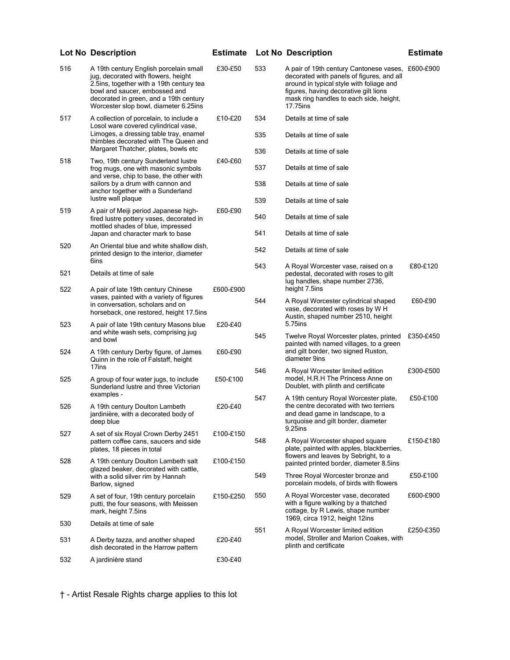|     | <b>Lot No Description</b>                                                                                                                                                                                                                     | <b>Estimate</b> |     | <b>Lot No Description</b>                                                                                                                                                                                                        | <b>Estimate</b> |
|-----|-----------------------------------------------------------------------------------------------------------------------------------------------------------------------------------------------------------------------------------------------|-----------------|-----|----------------------------------------------------------------------------------------------------------------------------------------------------------------------------------------------------------------------------------|-----------------|
| 516 | A 19th century English porcelain small<br>jug, decorated with flowers, height<br>2.5ins, together with a 19th century tea<br>bowl and saucer, embossed and<br>decorated in green, and a 19th century<br>Worcester slop bowl, diameter 6.25ins | £30-£50         | 533 | A pair of 19th century Cantonese vases,<br>decorated with panels of figures, and all<br>around in typical style with foliage and<br>figures, having decorative gilt lions<br>mask ring handles to each side, height,<br>17.75ins | £600-£900       |
| 517 | A collection of porcelain, to include a<br>Losol ware covered cylindrical vase,<br>Limoges, a dressing table tray, enamel<br>thimbles decorated with The Queen and                                                                            | £10-£20         | 534 | Details at time of sale                                                                                                                                                                                                          |                 |
|     |                                                                                                                                                                                                                                               |                 | 535 | Details at time of sale                                                                                                                                                                                                          |                 |
| 518 | Margaret Thatcher, plates, bowls etc<br>Two, 19th century Sunderland lustre                                                                                                                                                                   | £40-£60         | 536 | Details at time of sale                                                                                                                                                                                                          |                 |
|     | frog mugs, one with masonic symbols<br>and verse, chip to base, the other with                                                                                                                                                                |                 | 537 | Details at time of sale                                                                                                                                                                                                          |                 |
|     | sailors by a drum with cannon and<br>anchor together with a Sunderland                                                                                                                                                                        |                 | 538 | Details at time of sale                                                                                                                                                                                                          |                 |
| 519 | lustre wall plaque<br>A pair of Meiji period Japanese high-                                                                                                                                                                                   | £60-£90         | 539 | Details at time of sale                                                                                                                                                                                                          |                 |
|     | fired lustre pottery vases, decorated in<br>mottled shades of blue, impressed                                                                                                                                                                 |                 | 540 | Details at time of sale                                                                                                                                                                                                          |                 |
|     | Japan and character mark to base                                                                                                                                                                                                              |                 | 541 | Details at time of sale                                                                                                                                                                                                          |                 |
| 520 | An Oriental blue and white shallow dish,<br>printed design to the interior, diameter                                                                                                                                                          |                 | 542 | Details at time of sale                                                                                                                                                                                                          |                 |
| 521 | 6ins<br>Details at time of sale                                                                                                                                                                                                               |                 | 543 | A Royal Worcester vase, raised on a<br>pedestal, decorated with roses to gilt                                                                                                                                                    | £80-£120        |
| 522 | A pair of late 19th century Chinese<br>vases, painted with a variety of figures<br>in conversation, scholars and on<br>horseback, one restored, height 17.5ins                                                                                | £600-£900       |     | lug handles, shape number 2736,<br>height 7.5ins                                                                                                                                                                                 |                 |
|     |                                                                                                                                                                                                                                               |                 | 544 | A Royal Worcester cylindrical shaped<br>vase, decorated with roses by W H<br>Austin, shaped number 2510, height                                                                                                                  | £60-£90         |
| 523 | A pair of late 19th century Masons blue<br>and white wash sets, comprising jug<br>and bowl                                                                                                                                                    | £20-£40         |     | 5.75ins                                                                                                                                                                                                                          |                 |
|     |                                                                                                                                                                                                                                               |                 | 545 | Twelve Royal Worcester plates, printed<br>painted with named villages, to a green                                                                                                                                                | £350-£450       |
| 524 | A 19th century Derby figure, of James<br>Quinn in the role of Falstaff, height                                                                                                                                                                | £60-£90         |     | and gilt border, two signed Ruston,<br>diameter 9ins                                                                                                                                                                             |                 |
| 525 | 17ins<br>A group of four water jugs, to include<br>Sunderland lustre and three Victorian                                                                                                                                                      | £50-£100        | 546 | A Royal Worcester limited edition<br>model, H.R.H The Princess Anne on<br>Doublet, with plinth and certificate                                                                                                                   | £300-£500       |
|     | examples -                                                                                                                                                                                                                                    |                 | 547 | A 19th century Royal Worcester plate,<br>the centre decorated with two terriers                                                                                                                                                  | £50-£100        |
| 526 | A 19th century Doulton Lambeth<br>jardinière, with a decorated body of<br>deep blue                                                                                                                                                           | £20-£40         |     | and dead game in landscape, to a<br>turquoise and gilt border, diameter                                                                                                                                                          |                 |
| 527 | A set of six Royal Crown Derby 2451                                                                                                                                                                                                           | £100-£150       | 548 | 9.25ins<br>A Royal Worcester shaped square<br>plate, painted with apples, blackberries,<br>flowers and leaves by Sebright, to a<br>painted printed border, diameter 8.5ins                                                       | £150-£180       |
|     | pattern coffee cans, saucers and side<br>plates, 18 pieces in total                                                                                                                                                                           |                 |     |                                                                                                                                                                                                                                  |                 |
| 528 | A 19th century Doulton Lambeth salt<br>glazed beaker, decorated with cattle,<br>with a solid silver rim by Hannah<br>Barlow, signed                                                                                                           | £100-£150       |     |                                                                                                                                                                                                                                  |                 |
|     |                                                                                                                                                                                                                                               |                 | 549 | Three Royal Worcester bronze and<br>porcelain models, of birds with flowers                                                                                                                                                      | £50-£100        |
| 529 | A set of four, 19th century porcelain<br>putti, the four seasons, with Meissen<br>mark, height 7.5ins                                                                                                                                         | £150-£250       | 550 | A Royal Worcester vase, decorated<br>with a figure walking by a thatched<br>cottage, by R Lewis, shape number                                                                                                                    | £600-£900       |
| 530 | Details at time of sale                                                                                                                                                                                                                       |                 | 551 | 1969, circa 1912, height 12ins<br>A Royal Worcester limited edition<br>model, Stroller and Marion Coakes, with<br>plinth and certificate                                                                                         | £250-£350       |
| 531 | A Derby tazza, and another shaped<br>dish decorated in the Harrow pattern                                                                                                                                                                     | £20-£40         |     |                                                                                                                                                                                                                                  |                 |
| 532 | A jardinière stand                                                                                                                                                                                                                            | £30-£40         |     |                                                                                                                                                                                                                                  |                 |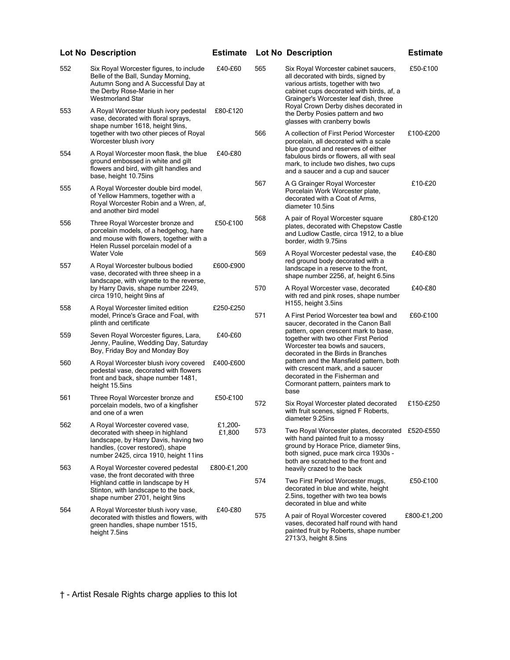## 552 Six Royal Worcester figures, to include Belle of the Ball, Sunday Morning, Autumn Song and A Successful Day at the Derby Rose-Marie in her Westmorland Star £40-£60 553 A Royal Worcester blush ivory pedestal vase, decorated with floral sprays, shape number 1618, height 9ins, together with two other pieces of Royal Worcester blush ivory £80-£120 554 A Royal Worcester moon flask, the blue ground embossed in white and gilt flowers and bird, with gilt handles and base, height 10.75ins £40-£80 555 A Royal Worcester double bird model, of Yellow Hammers, together with a Royal Worcester Robin and a Wren, af, and another bird model 556 Three Royal Worcester bronze and porcelain models, of a hedgehog, hare and mouse with flowers, together with a Helen Russel porcelain model of a Water Vole £50-£100 557 A Royal Worcester bulbous bodied vase, decorated with three sheep in a landscape, with vignette to the reverse, by Harry Davis, shape number 2249, circa 1910, height 9ins af £600-£900 558 A Royal Worcester limited edition model, Prince's Grace and Foal, with plinth and certificate £250-£250 559 Seven Royal Worcester figures, Lara, Jenny, Pauline, Wedding Day, Saturday Boy, Friday Boy and Monday Boy £40-£60 560 A Royal Worcester blush ivory covered pedestal vase, decorated with flowers front and back, shape number 1481, height 15.5ins £400-£600 561 Three Royal Worcester bronze and porcelain models, two of a kingfisher and one of a wren £50-£100 562 A Royal Worcester covered vase, decorated with sheep in highland landscape, by Harry Davis, having two handles, (cover restored), shape number 2425, circa 1910, height 11ins £1,200- £1,800 563 A Royal Worcester covered pedestal vase, the front decorated with three Highland cattle in landscape by H Stinton, with landscape to the back, shape number 2701, height 9ins £800-£1,200 564 A Royal Worcester blush ivory vase, decorated with thistles and flowers, with green handles, shape number 1515, £40-£80 565 Six Royal Worcester cabinet saucers, all decorated with birds, signed by various artists, together with two cabinet cups decorated with birds, af, a Grainger's Worcester leaf dish, three Royal Crown Derby dishes decorated in the Derby Posies pattern and two glasses with cranberry bowls £50-£100 566 A collection of First Period Worcester porcelain, all decorated with a scale blue ground and reserves of either fabulous birds or flowers, all with seal mark, to include two dishes, two cups and a saucer and a cup and saucer £100-£200 567 A G Grainger Royal Worcester Porcelain Work Worcester plate, decorated with a Coat of Arms, diameter 10.5ins £10-£20 568 A pair of Royal Worcester square plates, decorated with Chepstow Castle and Ludlow Castle, circa 1912, to a blue border, width 9.75ins £80-£120 569 A Royal Worcester pedestal vase, the red ground body decorated with a landscape in a reserve to the front, shape number 2256, af, height 6.5ins £40-£80 570 A Royal Worcester vase, decorated with red and pink roses, shape number H155, height 3.5ins £40-£80 571 A First Period Worcester tea bowl and saucer, decorated in the Canon Ball pattern, open crescent mark to base, together with two other First Period Worcester tea bowls and saucers, decorated in the Birds in Branches pattern and the Mansfield pattern, both with crescent mark, and a saucer decorated in the Fisherman and Cormorant pattern, painters mark to base £60-£100 572 Six Royal Worcester plated decorated with fruit scenes, signed F Roberts, diameter 9.25ins £150-£250 573 Two Royal Worcester plates, decorated £520-£550 with hand painted fruit to a mossy ground by Horace Price, diameter 9ins, both signed, puce mark circa 1930s both are scratched to the front and heavily crazed to the back 574 Two First Period Worcester mugs, decorated in blue and white, height 2.5ins, together with two tea bowls decorated in blue and white £50-£100 575 A pair of Royal Worcester covered vases, decorated half round with hand £800-£1,200 **Lot No Description Estimate Lot No Description Estimate**

painted fruit by Roberts, shape number

2713/3, height 8.5ins

† - Artist Resale Rights charge applies to this lot

height 7.5ins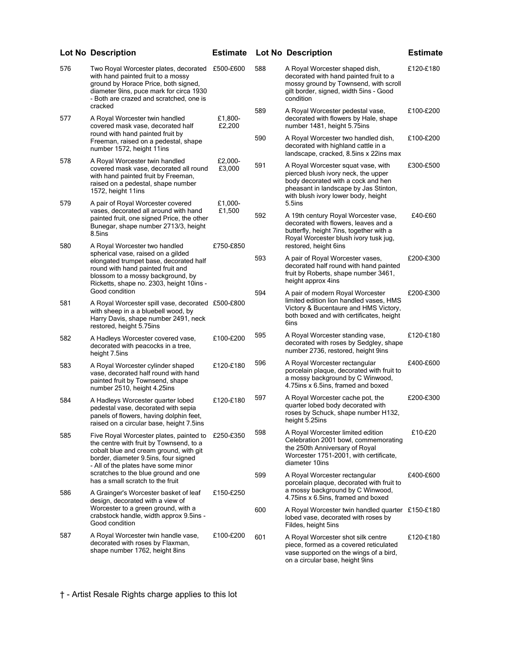|     | Lot No Description                                                                                                                                                                                                             | <b>Estimate</b>   |     | Lot No Description                                                                                                                                                                              | <b>Estimate</b> |
|-----|--------------------------------------------------------------------------------------------------------------------------------------------------------------------------------------------------------------------------------|-------------------|-----|-------------------------------------------------------------------------------------------------------------------------------------------------------------------------------------------------|-----------------|
| 576 | Two Royal Worcester plates, decorated £500-£600<br>with hand painted fruit to a mossy<br>ground by Horace Price, both signed,<br>diameter 9ins, puce mark for circa 1930<br>- Both are crazed and scratched, one is<br>cracked |                   | 588 | A Royal Worcester shaped dish,<br>decorated with hand painted fruit to a<br>mossy ground by Townsend, with scroll<br>gilt border, signed, width 5ins - Good<br>condition                        | £120-£180       |
| 577 | A Royal Worcester twin handled<br>covered mask vase, decorated half<br>round with hand painted fruit by<br>Freeman, raised on a pedestal, shape<br>number 1572, height 11ins                                                   | £1,800-<br>£2,200 | 589 | A Royal Worcester pedestal vase,<br>decorated with flowers by Hale, shape<br>number 1481, height 5.75ins                                                                                        | £100-£200       |
|     |                                                                                                                                                                                                                                |                   | 590 | A Royal Worcester two handled dish,<br>decorated with highland cattle in a<br>landscape, cracked, 8.5ins x 22ins max                                                                            | £100-£200       |
| 578 | A Royal Worcester twin handled<br>covered mask vase, decorated all round<br>with hand painted fruit by Freeman,<br>raised on a pedestal, shape number<br>1572, height 11ins                                                    | £2,000-<br>£3,000 | 591 | A Royal Worcester squat vase, with<br>pierced blush ivory neck, the upper<br>body decorated with a cock and hen<br>pheasant in landscape by Jas Stinton,<br>with blush ivory lower body, height | £300-£500       |
| 579 | A pair of Royal Worcester covered<br>vases, decorated all around with hand<br>painted fruit, one signed Price, the other<br>Bunegar, shape number 2713/3, height<br>8.5ins                                                     | £1,000-<br>£1,500 | 592 | 5.5ins<br>A 19th century Royal Worcester vase,<br>decorated with flowers, leaves and a<br>butterfly, height 7ins, together with a                                                               | £40-£60         |
| 580 | A Royal Worcester two handled                                                                                                                                                                                                  | £750-£850         |     | Royal Worcester blush ivory tusk jug,<br>restored, height 6ins                                                                                                                                  |                 |
|     | spherical vase, raised on a gilded<br>elongated trumpet base, decorated half<br>round with hand painted fruit and<br>blossom to a mossy background, by<br>Ricketts, shape no. 2303, height 10ins -                             |                   | 593 | A pair of Royal Worcester vases,<br>decorated half round with hand painted<br>fruit by Roberts, shape number 3461,<br>height approx 4ins                                                        | £200-£300       |
| 581 | Good condition<br>A Royal Worcester spill vase, decorated £500-£800<br>with sheep in a a bluebell wood, by<br>Harry Davis, shape number 2491, neck<br>restored, height 5.75ins                                                 |                   | 594 | A pair of modern Royal Worcester<br>limited edition lion handled vases, HMS<br>Victory & Bucentaure and HMS Victory,<br>both boxed and with certificates, height<br>6ins                        | £200-£300       |
| 582 | A Hadleys Worcester covered vase,<br>decorated with peacocks in a tree,<br>height 7.5ins                                                                                                                                       | £100-£200         | 595 | A Royal Worcester standing vase,<br>decorated with roses by Sedgley, shape<br>number 2736, restored, height 9ins                                                                                | £120-£180       |
| 583 | A Royal Worcester cylinder shaped<br>vase, decorated half round with hand<br>painted fruit by Townsend, shape<br>number 2510, height 4.25ins                                                                                   | £120-£180         | 596 | A Royal Worcester rectangular<br>porcelain plaque, decorated with fruit to<br>a mossy background by C Winwood,<br>4.75ins x 6.5ins, framed and boxed                                            | £400-£600       |
| 584 | A Hadleys Worcester quarter lobed<br>pedestal vase, decorated with sepia<br>panels of flowers, having dolphin feet,<br>raised on a circular base, height 7.5ins                                                                | £120-£180         | 597 | A Royal Worcester cache pot, the<br>quarter lobed body decorated with<br>roses by Schuck, shape number H132,<br>height 5.25ins                                                                  | £200-£300       |
| 585 | Five Royal Worcester plates, painted to<br>the centre with fruit by Townsend, to a<br>cobalt blue and cream ground, with git<br>border, diameter 9.5ins, four signed<br>- All of the plates have some minor                    | £250-£350         | 598 | A Royal Worcester limited edition<br>Celebration 2001 bowl, commemorating<br>the 250th Anniversary of Royal<br>Worcester 1751-2001, with certificate,<br>diameter 10ins                         | £10-£20         |
|     | scratches to the blue ground and one<br>has a small scratch to the fruit                                                                                                                                                       |                   | 599 | A Royal Worcester rectangular<br>porcelain plaque, decorated with fruit to<br>a mossy background by C Winwood,                                                                                  | £400-£600       |
| 586 | A Grainger's Worcester basket of leaf<br>design, decorated with a view of<br>Worcester to a green ground, with a<br>crabstock handle, width approx 9.5ins -<br>Good condition                                                  | £150-£250         |     | 4.75ins x 6.5ins, framed and boxed                                                                                                                                                              |                 |
|     |                                                                                                                                                                                                                                |                   | 600 | A Royal Worcester twin handled quarter £150-£180<br>lobed vase, decorated with roses by<br>Fildes, height 5ins                                                                                  |                 |
| 587 | A Royal Worcester twin handle vase,<br>decorated with roses by Flaxman,<br>shape number 1762, height 8ins                                                                                                                      | £100-£200         | 601 | A Royal Worcester shot silk centre<br>piece, formed as a covered reticulated<br>vase supported on the wings of a bird,<br>on a circular base, height 9ins                                       | £120-£180       |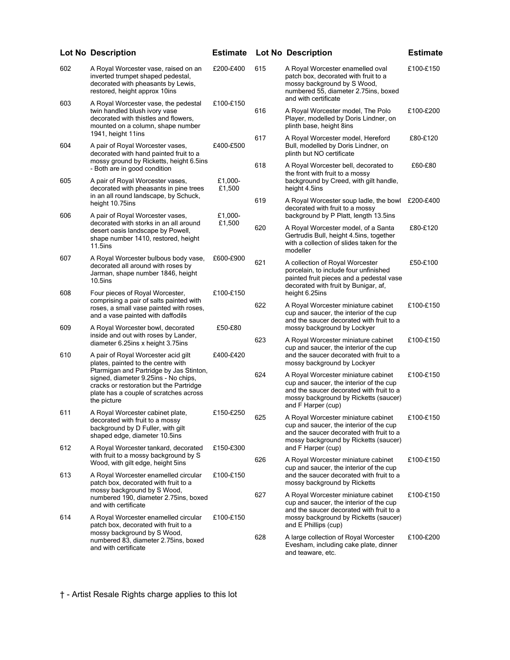|                                                                                                                                  | <b>Lot No Description</b>                                                                                                                                                                                                                                                                             | <b>Estimate</b>   |     | <b>Lot No Description</b>                                                                                                                                                                 | <b>Estimate</b> |
|----------------------------------------------------------------------------------------------------------------------------------|-------------------------------------------------------------------------------------------------------------------------------------------------------------------------------------------------------------------------------------------------------------------------------------------------------|-------------------|-----|-------------------------------------------------------------------------------------------------------------------------------------------------------------------------------------------|-----------------|
| 602                                                                                                                              | A Royal Worcester vase, raised on an<br>inverted trumpet shaped pedestal,<br>decorated with pheasants by Lewis,<br>restored, height approx 10ins                                                                                                                                                      | £200-£400         | 615 | A Royal Worcester enamelled oval<br>patch box, decorated with fruit to a<br>mossy background by S Wood,<br>numbered 55, diameter 2.75ins, boxed<br>and with certificate                   | £100-£150       |
| 603                                                                                                                              | A Royal Worcester vase, the pedestal<br>twin handled blush ivory vase<br>decorated with thistles and flowers,<br>mounted on a column, shape number                                                                                                                                                    | £100-£150         | 616 | A Royal Worcester model, The Polo<br>Player, modelled by Doris Lindner, on<br>plinth base, height 8ins                                                                                    | £100-£200       |
| 604                                                                                                                              | 1941, height 11ins<br>A pair of Royal Worcester vases,<br>decorated with hand painted fruit to a<br>mossy ground by Ricketts, height 6.5ins                                                                                                                                                           | £400-£500         | 617 | A Royal Worcester model, Hereford<br>Bull, modelled by Doris Lindner, on<br>plinth but NO certificate                                                                                     | £80-£120        |
| 605                                                                                                                              | - Both are in good condition<br>A pair of Royal Worcester vases,<br>decorated with pheasants in pine trees                                                                                                                                                                                            | £1,000-<br>£1,500 | 618 | A Royal Worcester bell, decorated to<br>the front with fruit to a mossy<br>background by Creed, with gilt handle,<br>height 4.5ins                                                        | £60-£80         |
| 606                                                                                                                              | in an all round landscape, by Schuck,<br>height 10.75ins<br>A pair of Royal Worcester vases,                                                                                                                                                                                                          | £1,000-           | 619 | A Royal Worcester soup ladle, the bowl £200-£400<br>decorated with fruit to a mossy<br>background by P Platt, length 13.5ins                                                              |                 |
| decorated with storks in an all around<br>desert oasis landscape by Powell,<br>shape number 1410, restored, height<br>$11.5$ ins |                                                                                                                                                                                                                                                                                                       | £1,500            | 620 | A Royal Worcester model, of a Santa<br>Gertrudis Bull, height 4.5ins, together<br>with a collection of slides taken for the<br>modeller                                                   | £80-£120        |
| 607                                                                                                                              | A Royal Worcester bulbous body vase,<br>decorated all around with roses by<br>Jarman, shape number 1846, height<br>$10.5$ ins                                                                                                                                                                         | £600-£900         | 621 | A collection of Royal Worcester<br>porcelain, to include four unfinished<br>painted fruit pieces and a pedestal vase<br>decorated with fruit by Bunigar, af,                              | £50-£100        |
| 608                                                                                                                              | Four pieces of Royal Worcester,<br>comprising a pair of salts painted with<br>roses, a small vase painted with roses,<br>and a vase painted with daffodils                                                                                                                                            | £100-£150         | 622 | height 6.25ins<br>A Royal Worcester miniature cabinet<br>cup and saucer, the interior of the cup<br>and the saucer decorated with fruit to a                                              | £100-£150       |
| 609                                                                                                                              | A Royal Worcester bowl, decorated<br>inside and out with roses by Lander,                                                                                                                                                                                                                             | £50-£80           | 623 | mossy background by Lockyer<br>A Royal Worcester miniature cabinet                                                                                                                        | £100-£150       |
| 610                                                                                                                              | diameter 6.25ins x height 3.75ins<br>A pair of Royal Worcester acid gilt<br>plates, painted to the centre with<br>Ptarmigan and Partridge by Jas Stinton,<br>signed, diameter 9.25ins - No chips,<br>cracks or restoration but the Partridge<br>plate has a couple of scratches across<br>the picture | £400-£420         |     | cup and saucer, the interior of the cup<br>and the saucer decorated with fruit to a<br>mossy background by Lockyer                                                                        |                 |
|                                                                                                                                  |                                                                                                                                                                                                                                                                                                       |                   | 624 | A Royal Worcester miniature cabinet<br>cup and saucer, the interior of the cup<br>and the saucer decorated with fruit to a<br>mossy background by Ricketts (saucer)<br>and F Harper (cup) | £100-£150       |
| 611                                                                                                                              | A Royal Worcester cabinet plate,<br>decorated with fruit to a mossy<br>background by D Fuller, with gilt<br>shaped edge, diameter 10.5ins                                                                                                                                                             | £150-£250         | 625 | A Royal Worcester miniature cabinet<br>cup and saucer, the interior of the cup<br>and the saucer decorated with fruit to a<br>mossy background by Ricketts (saucer)                       | £100-£150       |
| 612                                                                                                                              | A Royal Worcester tankard, decorated<br>with fruit to a mossy background by S                                                                                                                                                                                                                         | £150-£300         | 626 | and F Harper (cup)<br>A Royal Worcester miniature cabinet                                                                                                                                 | £100-£150       |
| 613                                                                                                                              | Wood, with gilt edge, height 5ins<br>A Royal Worcester enamelled circular<br>patch box, decorated with fruit to a                                                                                                                                                                                     | £100-£150         |     | cup and saucer, the interior of the cup<br>and the saucer decorated with fruit to a<br>mossy background by Ricketts                                                                       |                 |
|                                                                                                                                  | mossy background by S Wood,<br>numbered 190, diameter 2.75ins, boxed<br>and with certificate                                                                                                                                                                                                          | 627               |     | A Royal Worcester miniature cabinet<br>cup and saucer, the interior of the cup<br>and the saucer decorated with fruit to a                                                                | £100-£150       |
| 614                                                                                                                              | A Royal Worcester enamelled circular<br>patch box, decorated with fruit to a<br>mossy background by S Wood,<br>numbered 83, diameter 2.75ins, boxed<br>and with certificate                                                                                                                           | £100-£150         |     | mossy background by Ricketts (saucer)<br>and E Phillips (cup)                                                                                                                             |                 |
|                                                                                                                                  |                                                                                                                                                                                                                                                                                                       |                   | 628 | A large collection of Royal Worcester<br>Evesham, including cake plate, dinner<br>and teaware, etc.                                                                                       | £100-£200       |